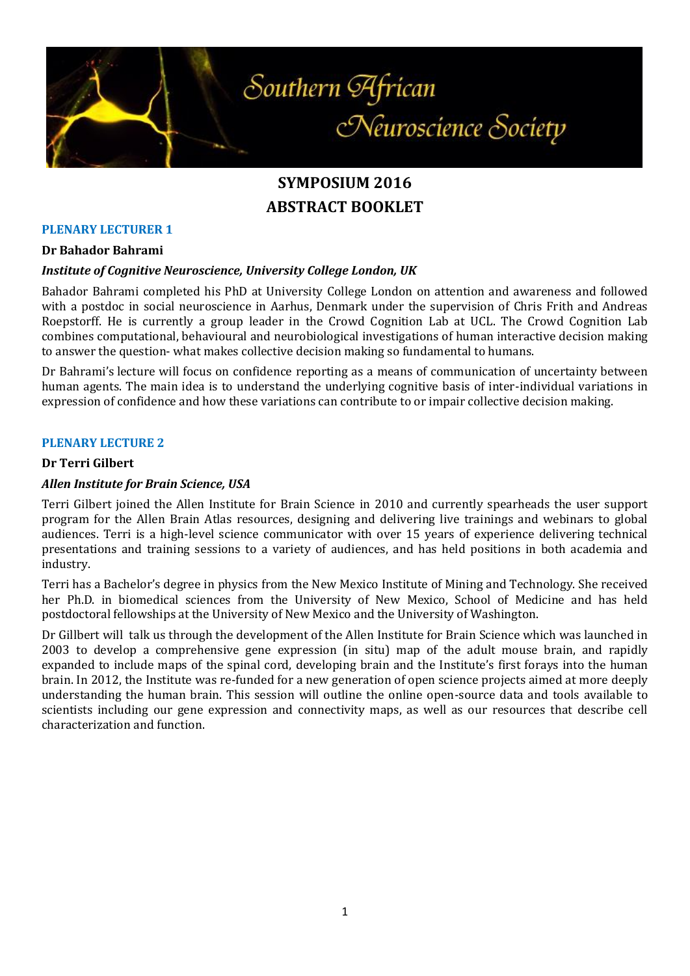

# **SYMPOSIUM 2016 ABSTRACT BOOKLET**

#### **PLENARY LECTURER 1**

# **Dr Bahador Bahrami**

### *Institute of Cognitive Neuroscience, University College London, UK*

Bahador Bahrami completed his PhD at University College London on attention and awareness and followed with a postdoc in social neuroscience in Aarhus, Denmark under the supervision of Chris Frith and Andreas Roepstorff. He is currently a group leader in the Crowd Cognition Lab at UCL. The Crowd Cognition Lab combines computational, behavioural and neurobiological investigations of human interactive decision making to answer the question- what makes collective decision making so fundamental to humans.

Dr Bahrami's lecture will focus on confidence reporting as a means of communication of uncertainty between human agents. The main idea is to understand the underlying cognitive basis of inter-individual variations in expression of confidence and how these variations can contribute to or impair collective decision making.

#### **PLENARY LECTURE 2**

### **Dr Terri Gilbert**

### *Allen Institute for Brain Science, USA*

Terri Gilbert joined the Allen Institute for Brain Science in 2010 and currently spearheads the user support program for the Allen Brain Atlas resources, designing and delivering live trainings and webinars to global audiences. Terri is a high-level science communicator with over 15 years of experience delivering technical presentations and training sessions to a variety of audiences, and has held positions in both academia and industry.

Terri has a Bachelor's degree in physics from the New Mexico Institute of Mining and Technology. She received her Ph.D. in biomedical sciences from the University of New Mexico, School of Medicine and has held postdoctoral fellowships at the University of New Mexico and the University of Washington.

Dr Gillbert will talk us through the development of the Allen Institute for Brain Science which was launched in 2003 to develop a comprehensive gene expression (in situ) map of the adult mouse brain, and rapidly expanded to include maps of the spinal cord, developing brain and the Institute's first forays into the human brain. In 2012, the Institute was re-funded for a new generation of open science projects aimed at more deeply understanding the human brain. This session will outline the online open-source data and tools available to scientists including our gene expression and connectivity maps, as well as our resources that describe cell characterization and function.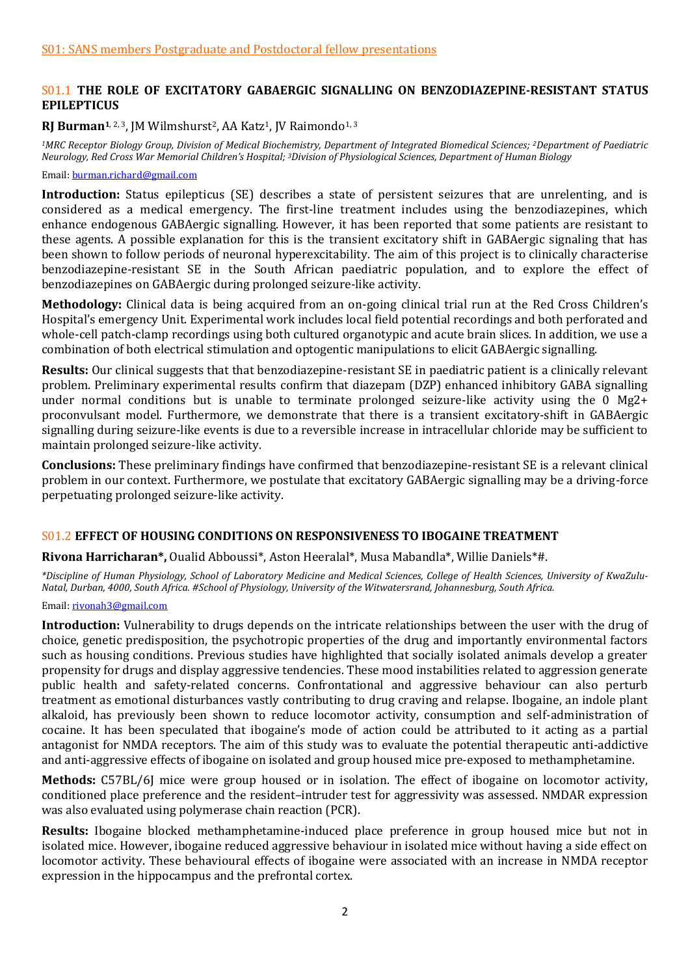## S01.1 **THE ROLE OF EXCITATORY GABAERGIC SIGNALLING ON BENZODIAZEPINE-RESISTANT STATUS EPILEPTICUS**

**RJ Burman**<sup>1, 2, 3</sup>, JM Wilmshurst<sup>2</sup>, AA Katz<sup>1</sup>, JV Raimondo<sup>1, 3</sup>

*<sup>1</sup>MRC Receptor Biology Group, Division of Medical Biochemistry, Department of Integrated Biomedical Sciences; 2Department of Paediatric Neurology, Red Cross War Memorial Children's Hospital; 3Division of Physiological Sciences, Department of Human Biology* 

Email[: burman.richard@gmail.com](mailto:burman.richard@gmail.com)

**Introduction:** Status epilepticus (SE) describes a state of persistent seizures that are unrelenting, and is considered as a medical emergency. The first-line treatment includes using the benzodiazepines, which enhance endogenous GABAergic signalling. However, it has been reported that some patients are resistant to these agents. A possible explanation for this is the transient excitatory shift in GABAergic signaling that has been shown to follow periods of neuronal hyperexcitability. The aim of this project is to clinically characterise benzodiazepine-resistant SE in the South African paediatric population, and to explore the effect of benzodiazepines on GABAergic during prolonged seizure-like activity.

**Methodology:** Clinical data is being acquired from an on-going clinical trial run at the Red Cross Children's Hospital's emergency Unit. Experimental work includes local field potential recordings and both perforated and whole-cell patch-clamp recordings using both cultured organotypic and acute brain slices. In addition, we use a combination of both electrical stimulation and optogentic manipulations to elicit GABAergic signalling.

**Results:** Our clinical suggests that that benzodiazepine-resistant SE in paediatric patient is a clinically relevant problem. Preliminary experimental results confirm that diazepam (DZP) enhanced inhibitory GABA signalling under normal conditions but is unable to terminate prolonged seizure-like activity using the  $0 \text{ Mg}2+$ proconvulsant model. Furthermore, we demonstrate that there is a transient excitatory-shift in GABAergic signalling during seizure-like events is due to a reversible increase in intracellular chloride may be sufficient to maintain prolonged seizure-like activity.

**Conclusions:** These preliminary findings have confirmed that benzodiazepine-resistant SE is a relevant clinical problem in our context. Furthermore, we postulate that excitatory GABAergic signalling may be a driving-force perpetuating prolonged seizure-like activity.

# S01.2 **EFFECT OF HOUSING CONDITIONS ON RESPONSIVENESS TO IBOGAINE TREATMENT**

**Rivona Harricharan\*,** Oualid Abboussi\*, Aston Heeralal\*, Musa Mabandla\*, Willie Daniels\*#.

*\*Discipline of Human Physiology, School of Laboratory Medicine and Medical Sciences, College of Health Sciences, University of KwaZulu-Natal, Durban, 4000, South Africa. #School of Physiology, University of the Witwatersrand, Johannesburg, South Africa.* 

Email[: rivonah3@gmail.com](mailto:rivonah3@gmail.com)

**Introduction:** Vulnerability to drugs depends on the intricate relationships between the user with the drug of choice, genetic predisposition, the psychotropic properties of the drug and importantly environmental factors such as housing conditions. Previous studies have highlighted that socially isolated animals develop a greater propensity for drugs and display aggressive tendencies. These mood instabilities related to aggression generate public health and safety-related concerns. Confrontational and aggressive behaviour can also perturb treatment as emotional disturbances vastly contributing to drug craving and relapse. Ibogaine, an indole plant alkaloid, has previously been shown to reduce locomotor activity, consumption and self-administration of cocaine. It has been speculated that ibogaine's mode of action could be attributed to it acting as a partial antagonist for NMDA receptors. The aim of this study was to evaluate the potential therapeutic anti-addictive and anti-aggressive effects of ibogaine on isolated and group housed mice pre-exposed to methamphetamine.

**Methods:** C57BL/6J mice were group housed or in isolation. The effect of ibogaine on locomotor activity, conditioned place preference and the resident–intruder test for aggressivity was assessed. NMDAR expression was also evaluated using polymerase chain reaction (PCR).

**Results:** Ibogaine blocked methamphetamine-induced place preference in group housed mice but not in isolated mice. However, ibogaine reduced aggressive behaviour in isolated mice without having a side effect on locomotor activity. These behavioural effects of ibogaine were associated with an increase in NMDA receptor expression in the hippocampus and the prefrontal cortex.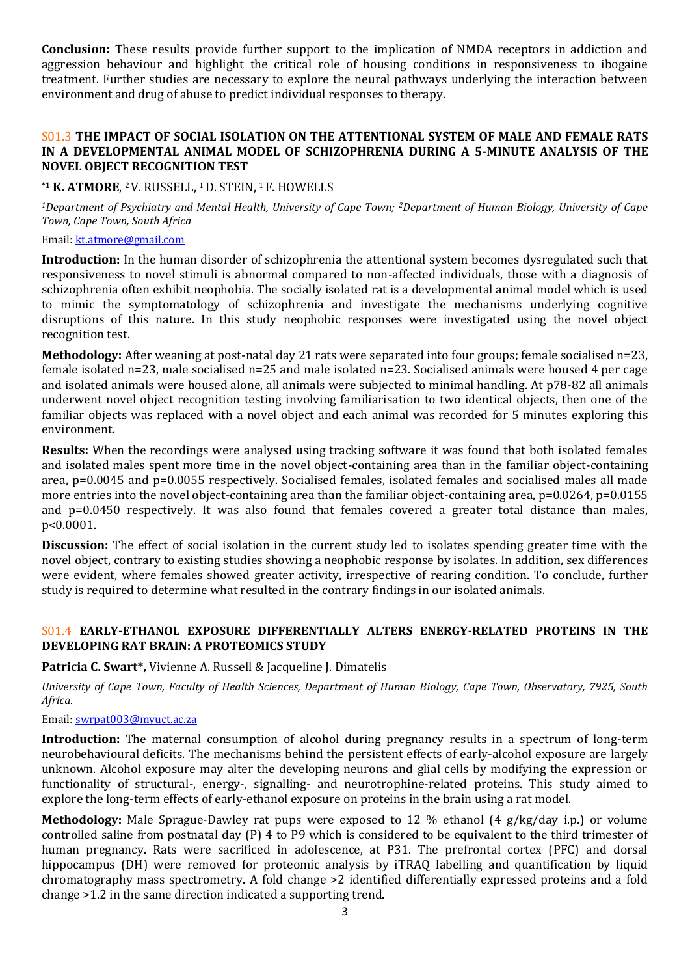**Conclusion:** These results provide further support to the implication of NMDA receptors in addiction and aggression behaviour and highlight the critical role of housing conditions in responsiveness to ibogaine treatment. Further studies are necessary to explore the neural pathways underlying the interaction between environment and drug of abuse to predict individual responses to therapy.

# S01.3 **THE IMPACT OF SOCIAL ISOLATION ON THE ATTENTIONAL SYSTEM OF MALE AND FEMALE RATS IN A DEVELOPMENTAL ANIMAL MODEL OF SCHIZOPHRENIA DURING A 5-MINUTE ANALYSIS OF THE NOVEL OBJECT RECOGNITION TEST**

**\*1 K. ATMORE**, <sup>2</sup>V. RUSSELL, 1 D. STEIN, 1 F. HOWELLS

*<sup>1</sup>Department of Psychiatry and Mental Health, University of Cape Town; 2Department of Human Biology, University of Cape Town, Cape Town, South Africa* 

### Email[: kt.atmore@gmail.com](mailto:kt.atmore@gmail.com)

**Introduction:** In the human disorder of schizophrenia the attentional system becomes dysregulated such that responsiveness to novel stimuli is abnormal compared to non-affected individuals, those with a diagnosis of schizophrenia often exhibit neophobia. The socially isolated rat is a developmental animal model which is used to mimic the symptomatology of schizophrenia and investigate the mechanisms underlying cognitive disruptions of this nature. In this study neophobic responses were investigated using the novel object recognition test.

**Methodology:** After weaning at post-natal day 21 rats were separated into four groups; female socialised n=23, female isolated n=23, male socialised n=25 and male isolated n=23. Socialised animals were housed 4 per cage and isolated animals were housed alone, all animals were subjected to minimal handling. At p78-82 all animals underwent novel object recognition testing involving familiarisation to two identical objects, then one of the familiar objects was replaced with a novel object and each animal was recorded for 5 minutes exploring this environment.

**Results:** When the recordings were analysed using tracking software it was found that both isolated females and isolated males spent more time in the novel object-containing area than in the familiar object-containing area, p=0.0045 and p=0.0055 respectively. Socialised females, isolated females and socialised males all made more entries into the novel object-containing area than the familiar object-containing area, p=0.0264, p=0.0155 and p=0.0450 respectively. It was also found that females covered a greater total distance than males, p<0.0001.

**Discussion:** The effect of social isolation in the current study led to isolates spending greater time with the novel object, contrary to existing studies showing a neophobic response by isolates. In addition, sex differences were evident, where females showed greater activity, irrespective of rearing condition. To conclude, further study is required to determine what resulted in the contrary findings in our isolated animals.

# S01.4 **EARLY-ETHANOL EXPOSURE DIFFERENTIALLY ALTERS ENERGY-RELATED PROTEINS IN THE DEVELOPING RAT BRAIN: A PROTEOMICS STUDY**

#### **Patricia C. Swart\*,** Vivienne A. Russell & Jacqueline J. Dimatelis

*University of Cape Town, Faculty of Health Sciences, Department of Human Biology, Cape Town, Observatory, 7925, South Africa.* 

#### Email[: swrpat003@myuct.ac.za](mailto:swrpat003@myuct.ac.za)

**Introduction:** The maternal consumption of alcohol during pregnancy results in a spectrum of long-term neurobehavioural deficits. The mechanisms behind the persistent effects of early-alcohol exposure are largely unknown. Alcohol exposure may alter the developing neurons and glial cells by modifying the expression or functionality of structural-, energy-, signalling- and neurotrophine-related proteins. This study aimed to explore the long-term effects of early-ethanol exposure on proteins in the brain using a rat model.

**Methodology:** Male Sprague-Dawley rat pups were exposed to 12 % ethanol (4 g/kg/day i.p.) or volume controlled saline from postnatal day (P) 4 to P9 which is considered to be equivalent to the third trimester of human pregnancy. Rats were sacrificed in adolescence, at P31. The prefrontal cortex (PFC) and dorsal hippocampus (DH) were removed for proteomic analysis by iTRAQ labelling and quantification by liquid chromatography mass spectrometry. A fold change >2 identified differentially expressed proteins and a fold change >1.2 in the same direction indicated a supporting trend.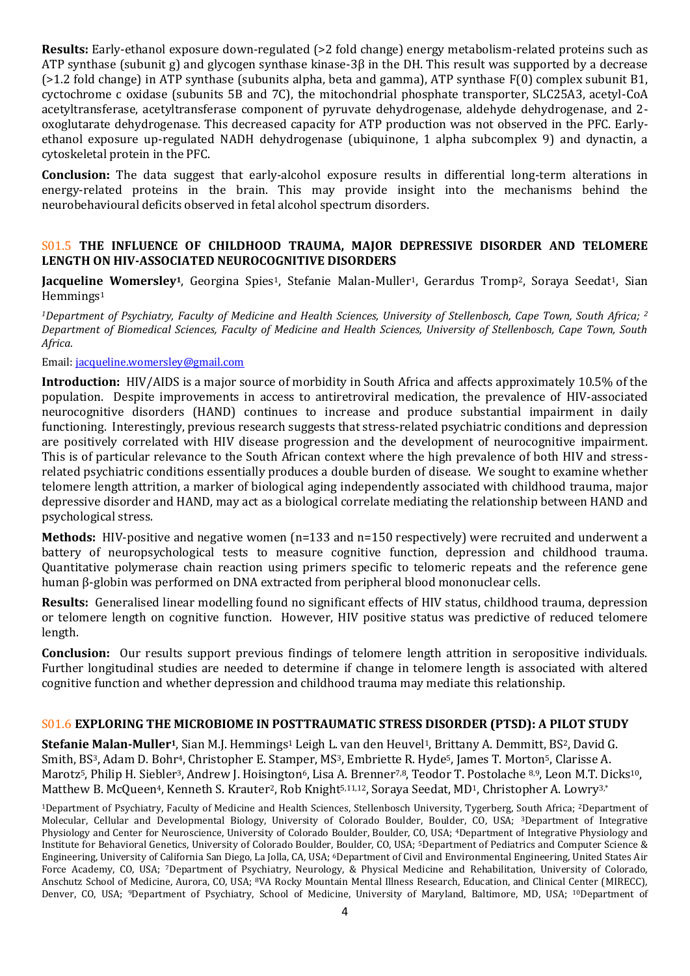**Results:** Early-ethanol exposure down-regulated (>2 fold change) energy metabolism-related proteins such as ATP synthase (subunit g) and glycogen synthase kinase-3β in the DH. This result was supported by a decrease (>1.2 fold change) in ATP synthase (subunits alpha, beta and gamma), ATP synthase F(0) complex subunit B1, cyctochrome c oxidase (subunits 5B and 7C), the mitochondrial phosphate transporter, SLC25A3, acetyl-CoA acetyltransferase, acetyltransferase component of pyruvate dehydrogenase, aldehyde dehydrogenase, and 2 oxoglutarate dehydrogenase. This decreased capacity for ATP production was not observed in the PFC. Earlyethanol exposure up-regulated NADH dehydrogenase (ubiquinone, 1 alpha subcomplex 9) and dynactin, a cytoskeletal protein in the PFC.

**Conclusion:** The data suggest that early-alcohol exposure results in differential long-term alterations in energy-related proteins in the brain. This may provide insight into the mechanisms behind the neurobehavioural deficits observed in fetal alcohol spectrum disorders.

### S01.5 **THE INFLUENCE OF CHILDHOOD TRAUMA, MAJOR DEPRESSIVE DISORDER AND TELOMERE LENGTH ON HIV-ASSOCIATED NEUROCOGNITIVE DISORDERS**

Jacqueline Womersley<sup>1</sup>, Georgina Spies<sup>1</sup>, Stefanie Malan-Muller<sup>1</sup>, Gerardus Tromp<sup>2</sup>, Soraya Seedat<sup>1</sup>, Sian Hemmings<sup>1</sup>

*<sup>1</sup>Department of Psychiatry, Faculty of Medicine and Health Sciences, University of Stellenbosch, Cape Town, South Africa; <sup>2</sup> Department of Biomedical Sciences, Faculty of Medicine and Health Sciences, University of Stellenbosch, Cape Town, South Africa.*

#### Email[: jacqueline.womersley@gmail.com](mailto:jacqueline.womersley@gmail.com)

**Introduction:** HIV/AIDS is a major source of morbidity in South Africa and affects approximately 10.5% of the population. Despite improvements in access to antiretroviral medication, the prevalence of HIV-associated neurocognitive disorders (HAND) continues to increase and produce substantial impairment in daily functioning. Interestingly, previous research suggests that stress-related psychiatric conditions and depression are positively correlated with HIV disease progression and the development of neurocognitive impairment. This is of particular relevance to the South African context where the high prevalence of both HIV and stressrelated psychiatric conditions essentially produces a double burden of disease. We sought to examine whether telomere length attrition, a marker of biological aging independently associated with childhood trauma, major depressive disorder and HAND, may act as a biological correlate mediating the relationship between HAND and psychological stress.

**Methods:** HIV-positive and negative women (n=133 and n=150 respectively) were recruited and underwent a battery of neuropsychological tests to measure cognitive function, depression and childhood trauma. Quantitative polymerase chain reaction using primers specific to telomeric repeats and the reference gene human β-globin was performed on DNA extracted from peripheral blood mononuclear cells.

**Results:** Generalised linear modelling found no significant effects of HIV status, childhood trauma, depression or telomere length on cognitive function. However, HIV positive status was predictive of reduced telomere length.

**Conclusion:** Our results support previous findings of telomere length attrition in seropositive individuals. Further longitudinal studies are needed to determine if change in telomere length is associated with altered cognitive function and whether depression and childhood trauma may mediate this relationship.

#### S01.6 **EXPLORING THE MICROBIOME IN POSTTRAUMATIC STRESS DISORDER (PTSD): A PILOT STUDY**

**Stefanie Malan-Muller<sup>1</sup>, Sian M.J. Hemmings<sup>1</sup> Leigh L. van den Heuvel<sup>1</sup>, Brittany A. Demmitt, BS<sup>2</sup>, David G.** Smith, BS3, Adam D. Bohr4, Christopher E. Stamper, MS3, Embriette R. Hyde5, James T. Morton5, Clarisse A. Marotz<sup>5</sup>, Philip H. Siebler<sup>3</sup>, Andrew J. Hoisington<sup>6</sup>, Lisa A. Brenner<sup>7,8</sup>, Teodor T. Postolache 8,9, Leon M.T. Dicks<sup>10</sup>, Matthew B. McQueen<sup>4</sup>, Kenneth S. Krauter<sup>2</sup>, Rob Knight<sup>5,11,12</sup>, Soraya Seedat, MD<sup>1</sup>, Christopher A. Lowry<sup>3,\*</sup>

<sup>1</sup>Department of Psychiatry, Faculty of Medicine and Health Sciences, Stellenbosch University, Tygerberg, South Africa; 2Department of Molecular, Cellular and Developmental Biology, University of Colorado Boulder, Boulder, CO, USA; 3Department of Integrative Physiology and Center for Neuroscience, University of Colorado Boulder, Boulder, CO, USA; 4Department of Integrative Physiology and Institute for Behavioral Genetics, University of Colorado Boulder, Boulder, CO, USA; 5Department of Pediatrics and Computer Science & Engineering, University of California San Diego, La Jolla, CA, USA; 6Department of Civil and Environmental Engineering, United States Air Force Academy, CO, USA; 7Department of Psychiatry, Neurology, & Physical Medicine and Rehabilitation, University of Colorado, Anschutz School of Medicine, Aurora, CO, USA; 8VA Rocky Mountain Mental Illness Research, Education, and Clinical Center (MIRECC), Denver, CO, USA; 9Department of Psychiatry, School of Medicine, University of Maryland, Baltimore, MD, USA; 10Department of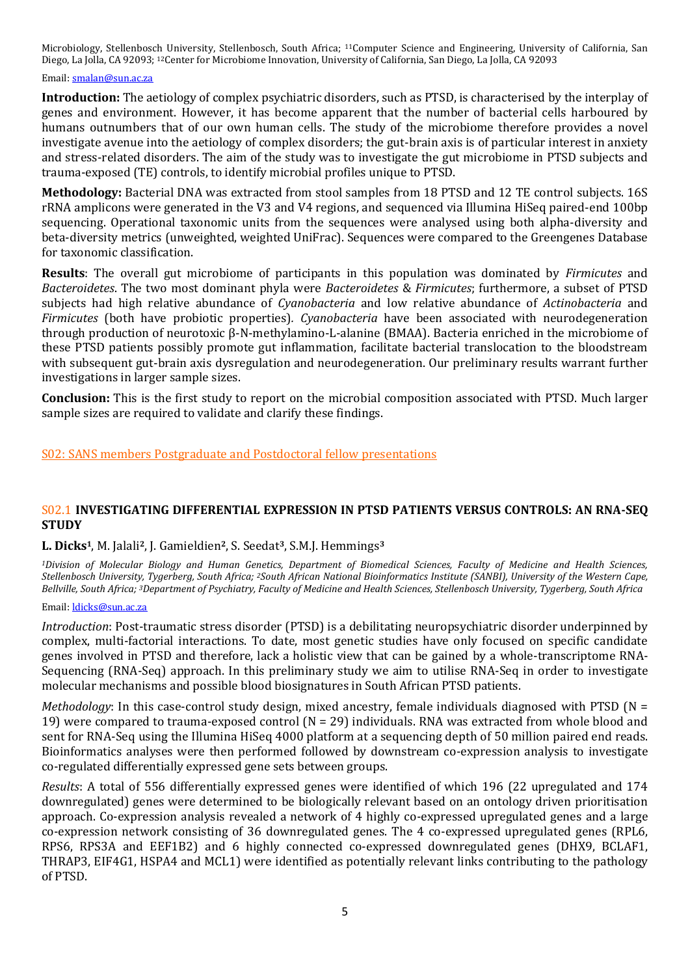Microbiology, Stellenbosch University, Stellenbosch, South Africa; 11Computer Science and Engineering, University of California, San Diego, La Jolla, CA 92093; 12Center for Microbiome Innovation, University of California, San Diego, La Jolla, CA 92093

#### Email[: smalan@sun.ac.za](mailto:smalan@sun.ac.za)

**Introduction:** The aetiology of complex psychiatric disorders, such as PTSD, is characterised by the interplay of genes and environment. However, it has become apparent that the number of bacterial cells harboured by humans outnumbers that of our own human cells. The study of the microbiome therefore provides a novel investigate avenue into the aetiology of complex disorders; the gut-brain axis is of particular interest in anxiety and stress-related disorders. The aim of the study was to investigate the gut microbiome in PTSD subjects and trauma-exposed (TE) controls, to identify microbial profiles unique to PTSD.

**Methodology:** Bacterial DNA was extracted from stool samples from 18 PTSD and 12 TE control subjects. 16S rRNA amplicons were generated in the V3 and V4 regions, and sequenced via Illumina HiSeq paired-end 100bp sequencing. Operational taxonomic units from the sequences were analysed using both alpha-diversity and beta-diversity metrics (unweighted, weighted UniFrac). Sequences were compared to the Greengenes Database for taxonomic classification.

**Results**: The overall gut microbiome of participants in this population was dominated by *Firmicutes* and *Bacteroidetes*. The two most dominant phyla were *Bacteroidetes* & *Firmicutes*; furthermore, a subset of PTSD subjects had high relative abundance of *Cyanobacteria* and low relative abundance of *Actinobacteria* and *Firmicutes* (both have probiotic properties)*. Cyanobacteria* have been associated with neurodegeneration through production of neurotoxic β-N-methylamino-L-alanine (BMAA). Bacteria enriched in the microbiome of these PTSD patients possibly promote gut inflammation, facilitate bacterial translocation to the bloodstream with subsequent gut-brain axis dysregulation and neurodegeneration. Our preliminary results warrant further investigations in larger sample sizes.

**Conclusion:** This is the first study to report on the microbial composition associated with PTSD. Much larger sample sizes are required to validate and clarify these findings.

### S02: SANS members Postgraduate and Postdoctoral fellow presentations

### S02.1 **INVESTIGATING DIFFERENTIAL EXPRESSION IN PTSD PATIENTS VERSUS CONTROLS: AN RNA-SEQ STUDY**

#### **L. Dicks1**, M. Jalali**2**, J. Gamieldien**2**, S. Seedat**3**, S.M.J. Hemmings**<sup>3</sup>**

*<sup>1</sup>Division of Molecular Biology and Human Genetics, Department of Biomedical Sciences, Faculty of Medicine and Health Sciences, Stellenbosch University, Tygerberg, South Africa; 2South African National Bioinformatics Institute (SANBI), University of the Western Cape, Bellville, South Africa; 3Department of Psychiatry, Faculty of Medicine and Health Sciences, Stellenbosch University, Tygerberg, South Africa* 

#### Email: [ldicks@sun.ac.za](mailto:ldicks@sun.ac.za)

*Introduction*: Post-traumatic stress disorder (PTSD) is a debilitating neuropsychiatric disorder underpinned by complex, multi-factorial interactions. To date, most genetic studies have only focused on specific candidate genes involved in PTSD and therefore, lack a holistic view that can be gained by a whole-transcriptome RNA-Sequencing (RNA-Seq) approach. In this preliminary study we aim to utilise RNA-Seq in order to investigate molecular mechanisms and possible blood biosignatures in South African PTSD patients.

*Methodology*: In this case-control study design, mixed ancestry, female individuals diagnosed with PTSD (N = 19) were compared to trauma-exposed control (N = 29) individuals. RNA was extracted from whole blood and sent for RNA-Seq using the Illumina HiSeq 4000 platform at a sequencing depth of 50 million paired end reads. Bioinformatics analyses were then performed followed by downstream co-expression analysis to investigate co-regulated differentially expressed gene sets between groups.

*Results*: A total of 556 differentially expressed genes were identified of which 196 (22 upregulated and 174 downregulated) genes were determined to be biologically relevant based on an ontology driven prioritisation approach. Co-expression analysis revealed a network of 4 highly co-expressed upregulated genes and a large co-expression network consisting of 36 downregulated genes. The 4 co-expressed upregulated genes (RPL6, RPS6, RPS3A and EEF1B2) and 6 highly connected co-expressed downregulated genes (DHX9, BCLAF1, THRAP3, EIF4G1, HSPA4 and MCL1) were identified as potentially relevant links contributing to the pathology of PTSD.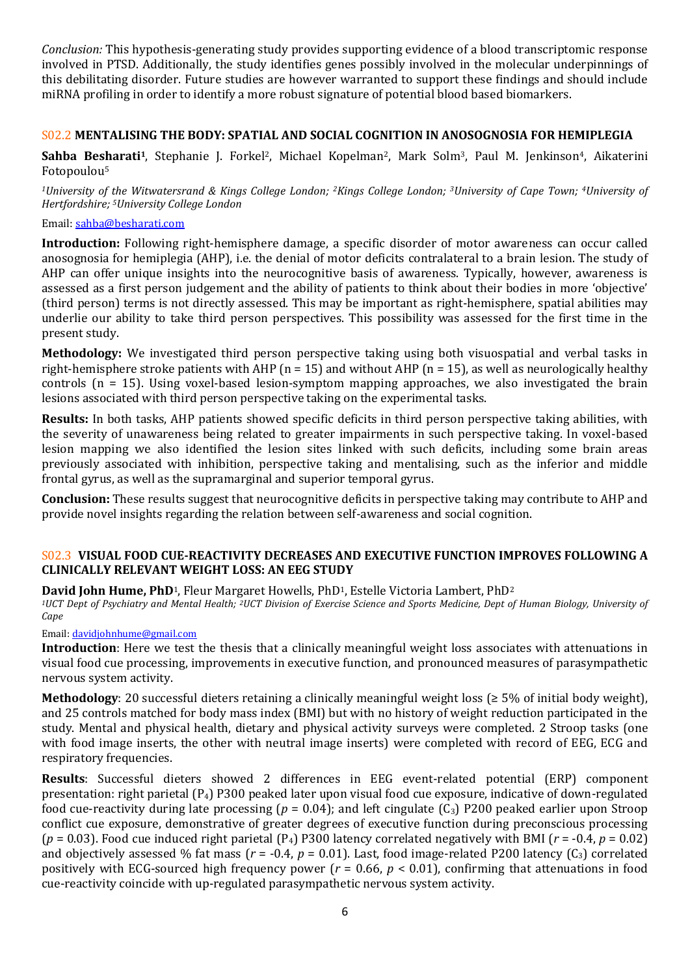*Conclusion:* This hypothesis-generating study provides supporting evidence of a blood transcriptomic response involved in PTSD. Additionally, the study identifies genes possibly involved in the molecular underpinnings of this debilitating disorder. Future studies are however warranted to support these findings and should include miRNA profiling in order to identify a more robust signature of potential blood based biomarkers.

# S02.2 **MENTALISING THE BODY: SPATIAL AND SOCIAL COGNITION IN ANOSOGNOSIA FOR HEMIPLEGIA**

**Sahba Besharati1**, Stephanie J. Forkel2, Michael Kopelman2, Mark Solm3, Paul M. Jenkinson4, Aikaterini Fotopoulou<sup>5</sup>

*<sup>1</sup>University of the Witwatersrand & Kings College London; 2Kings College London; 3University of Cape Town; 4University of Hertfordshire; 5University College London* 

#### Email[: sahba@besharati.com](mailto:sahba@besharati.com)

**Introduction:** Following right-hemisphere damage, a specific disorder of motor awareness can occur called anosognosia for hemiplegia (AHP), i.e. the denial of motor deficits contralateral to a brain lesion. The study of AHP can offer unique insights into the neurocognitive basis of awareness. Typically, however, awareness is assessed as a first person judgement and the ability of patients to think about their bodies in more 'objective' (third person) terms is not directly assessed. This may be important as right-hemisphere, spatial abilities may underlie our ability to take third person perspectives. This possibility was assessed for the first time in the present study.

**Methodology:** We investigated third person perspective taking using both visuospatial and verbal tasks in right-hemisphere stroke patients with AHP ( $n = 15$ ) and without AHP ( $n = 15$ ), as well as neurologically healthy controls (n = 15). Using voxel-based lesion-symptom mapping approaches, we also investigated the brain lesions associated with third person perspective taking on the experimental tasks.

**Results:** In both tasks, AHP patients showed specific deficits in third person perspective taking abilities, with the severity of unawareness being related to greater impairments in such perspective taking. In voxel-based lesion mapping we also identified the lesion sites linked with such deficits, including some brain areas previously associated with inhibition, perspective taking and mentalising, such as the inferior and middle frontal gyrus, as well as the supramarginal and superior temporal gyrus.

**Conclusion:** These results suggest that neurocognitive deficits in perspective taking may contribute to AHP and provide novel insights regarding the relation between self-awareness and social cognition.

# S02.3 **VISUAL FOOD CUE-REACTIVITY DECREASES AND EXECUTIVE FUNCTION IMPROVES FOLLOWING A CLINICALLY RELEVANT WEIGHT LOSS: AN EEG STUDY**

**David John Hume, PhD**<sup>1</sup>, Fleur Margaret Howells, PhD<sup>1</sup>, Estelle Victoria Lambert, PhD<sup>2</sup>

*<sup>1</sup>UCT Dept of Psychiatry and Mental Health; 2UCT Division of Exercise Science and Sports Medicine, Dept of Human Biology, University of Cape* 

Email[: davidjohnhume@gmail.com](mailto:davidjohnhume@gmail.com)

**Introduction**: Here we test the thesis that a clinically meaningful weight loss associates with attenuations in visual food cue processing, improvements in executive function, and pronounced measures of parasympathetic nervous system activity.

**Methodology**: 20 successful dieters retaining a clinically meaningful weight loss (≥ 5% of initial body weight), and 25 controls matched for body mass index (BMI) but with no history of weight reduction participated in the study. Mental and physical health, dietary and physical activity surveys were completed. 2 Stroop tasks (one with food image inserts, the other with neutral image inserts) were completed with record of EEG, ECG and respiratory frequencies.

**Results**: Successful dieters showed 2 differences in EEG event-related potential (ERP) component presentation: right parietal (P4) P300 peaked later upon visual food cue exposure, indicative of down-regulated food cue-reactivity during late processing ( $p = 0.04$ ); and left cingulate ( $C_3$ ) P200 peaked earlier upon Stroop conflict cue exposure, demonstrative of greater degrees of executive function during preconscious processing ( $p = 0.03$ ). Food cue induced right parietal (P<sub>4</sub>) P300 latency correlated negatively with BMI ( $r = -0.4$ ,  $p = 0.02$ ) and objectively assessed % fat mass ( $r = -0.4$ ,  $p = 0.01$ ). Last, food image-related P200 latency (C<sub>3</sub>) correlated positively with ECG-sourced high frequency power (*r* = 0.66, *p* < 0.01), confirming that attenuations in food cue-reactivity coincide with up-regulated parasympathetic nervous system activity.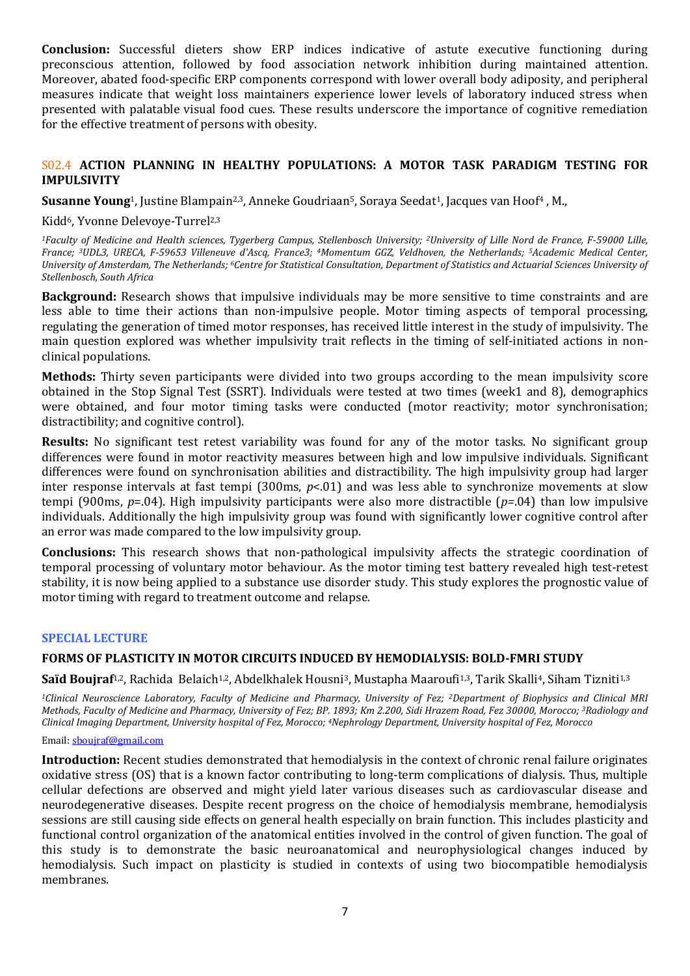**Conclusion:** Successful dieters show ERP indices indicative of astute executive functioning during preconscious attention, followed by food association network inhibition during maintained attention. Moreover, abated food-specific ERP components correspond with lower overall body adiposity, and peripheral measures indicate that weight loss maintainers experience lower levels of laboratory induced stress when presented with palatable visual food cues. These results underscore the importance of cognitive remediation for the effective treatment of persons with obesity.

# S02.4 **ACTION PLANNING IN HEALTHY POPULATIONS: A MOTOR TASK PARADIGM TESTING FOR IMPULSIVITY**

**Susanne Young**<sup>1</sup>, Justine Blampain<sup>2,3</sup>, Anneke Goudriaan<sup>5</sup>, Soraya Seedat<sup>1</sup>, Jacques van Hoof<sup>4</sup>, M.,

#### Kidd<sup>6</sup>, Yvonne Delevoye-Turrel<sup>2,3</sup>

*<sup>1</sup>Faculty of Medicine and Health sciences, Tygerberg Campus, Stellenbosch University; 2University of Lille Nord de France, F-59000 Lille, France; 3UDL3, URECA, F-59653 Villeneuve d'Ascq, France3; 4Momentum GGZ, Veldhoven, the Netherlands; 5Academic Medical Center, University of Amsterdam, The Netherlands; 6Centre for Statistical Consultation, Department of Statistics and Actuarial Sciences University of Stellenbosch, South Africa*

**Background:** Research shows that impulsive individuals may be more sensitive to time constraints and are less able to time their actions than non-impulsive people. Motor timing aspects of temporal processing, regulating the generation of timed motor responses, has received little interest in the study of impulsivity. The main question explored was whether impulsivity trait reflects in the timing of self-initiated actions in nonclinical populations.

**Methods:** Thirty seven participants were divided into two groups according to the mean impulsivity score obtained in the Stop Signal Test (SSRT). Individuals were tested at two times (week1 and 8), demographics were obtained, and four motor timing tasks were conducted (motor reactivity; motor synchronisation; distractibility; and cognitive control).

**Results:** No significant test retest variability was found for any of the motor tasks. No significant group differences were found in motor reactivity measures between high and low impulsive individuals. Significant differences were found on synchronisation abilities and distractibility. The high impulsivity group had larger inter response intervals at fast tempi (300ms, *p*<.01) and was less able to synchronize movements at slow tempi (900ms, *p*=.04). High impulsivity participants were also more distractible (*p=*.04) than low impulsive individuals. Additionally the high impulsivity group was found with significantly lower cognitive control after an error was made compared to the low impulsivity group.

**Conclusions:** This research shows that non-pathological impulsivity affects the strategic coordination of temporal processing of voluntary motor behaviour. As the motor timing test battery revealed high test-retest stability, it is now being applied to a substance use disorder study. This study explores the prognostic value of motor timing with regard to treatment outcome and relapse.

#### **SPECIAL LECTURE**

# **FORMS OF PLASTICITY IN MOTOR CIRCUITS INDUCED BY HEMODIALYSIS: BOLD-FMRI STUDY**

Saïd Boujraf<sup>1,2</sup>, Rachida Belaich<sup>1,2</sup>, Abdelkhalek Housni<sup>3</sup>, Mustapha Maaroufi<sup>1,3</sup>, Tarik Skalli<sup>4</sup>, Siham Tizniti<sup>1,3</sup>

*<sup>1</sup>Clinical Neuroscience Laboratory, Faculty of Medicine and Pharmacy, University of Fez; 2Department of Biophysics and Clinical MRI Methods, Faculty of Medicine and Pharmacy, University of Fez; BP. 1893; Km 2.200, Sidi Hrazem Road, Fez 30000, Morocco; 3Radiology and Clinical Imaging Department, University hospital of Fez, Morocco; 4Nephrology Department, University hospital of Fez, Morocco*

Email[: sboujraf@gmail.com](mailto:sboujraf@gmail.com)

**Introduction:** Recent studies demonstrated that hemodialysis in the context of chronic renal failure originates oxidative stress (OS) that is a known factor contributing to long-term complications of dialysis. Thus, multiple cellular defections are observed and might yield later various diseases such as cardiovascular disease and neurodegenerative diseases. Despite recent progress on the choice of hemodialysis membrane, hemodialysis sessions are still causing side effects on general health especially on brain function. This includes plasticity and functional control organization of the anatomical entities involved in the control of given function. The goal of this study is to demonstrate the basic neuroanatomical and neurophysiological changes induced by hemodialysis. Such impact on plasticity is studied in contexts of using two biocompatible hemodialysis membranes.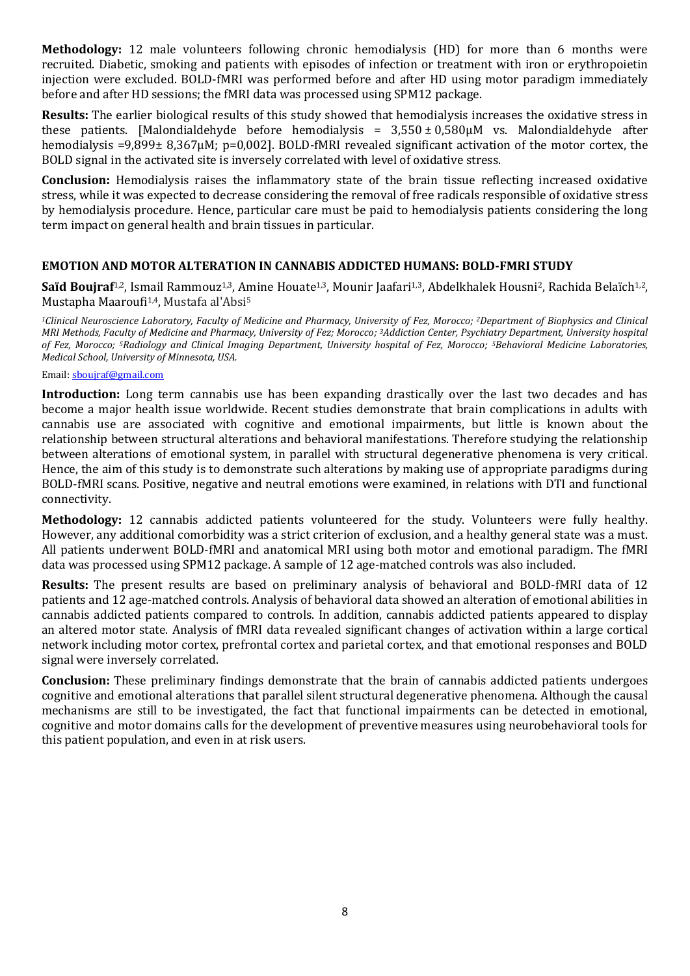**Methodology:** 12 male volunteers following chronic hemodialysis (HD) for more than 6 months were recruited. Diabetic, smoking and patients with episodes of infection or treatment with iron or erythropoietin injection were excluded. BOLD-fMRI was performed before and after HD using motor paradigm immediately before and after HD sessions; the fMRI data was processed using SPM12 package.

**Results:** The earlier biological results of this study showed that hemodialysis increases the oxidative stress in these patients. [Malondialdehyde before hemodialysis =  $3,550 \pm 0,580 \mu$ M vs. Malondialdehyde after hemodialysis =9,899± 8,367µM; p=0,002]. BOLD-fMRI revealed significant activation of the motor cortex, the BOLD signal in the activated site is inversely correlated with level of oxidative stress.

**Conclusion:** Hemodialysis raises the inflammatory state of the brain tissue reflecting increased oxidative stress, while it was expected to decrease considering the removal of free radicals responsible of oxidative stress by hemodialysis procedure. Hence, particular care must be paid to hemodialysis patients considering the long term impact on general health and brain tissues in particular.

# **EMOTION AND MOTOR ALTERATION IN CANNABIS ADDICTED HUMANS: BOLD-FMRI STUDY**

Saïd Boujraf<sup>1,2</sup>, Ismail Rammouz<sup>1,3</sup>, Amine Houate<sup>1,3</sup>, Mounir Jaafari<sup>1,3</sup>, Abdelkhalek Housni<sup>2</sup>, Rachida Belaïch<sup>1,2</sup>, Mustapha Maaroufi<sup>1,4</sup>, Mustafa al'Absi<sup>5</sup>

*<sup>1</sup>Clinical Neuroscience Laboratory, Faculty of Medicine and Pharmacy, University of Fez, Morocco; 2Department of Biophysics and Clinical MRI Methods, Faculty of Medicine and Pharmacy, University of Fez; Morocco; 3Addiction Center, Psychiatry Department, University hospital of Fez, Morocco; 5Radiology and Clinical Imaging Department, University hospital of Fez, Morocco; 5Behavioral Medicine Laboratories, Medical School, University of Minnesota, USA.*

Email[: sboujraf@gmail.com](mailto:sboujraf@gmail.com)

**Introduction:** Long term cannabis use has been expanding drastically over the last two decades and has become a major health issue worldwide. Recent studies demonstrate that brain complications in adults with cannabis use are associated with cognitive and emotional impairments, but little is known about the relationship between structural alterations and behavioral manifestations. Therefore studying the relationship between alterations of emotional system, in parallel with structural degenerative phenomena is very critical. Hence, the aim of this study is to demonstrate such alterations by making use of appropriate paradigms during BOLD-fMRI scans. Positive, negative and neutral emotions were examined, in relations with DTI and functional connectivity.

**Methodology:** 12 cannabis addicted patients volunteered for the study. Volunteers were fully healthy. However, any additional comorbidity was a strict criterion of exclusion, and a healthy general state was a must. All patients underwent BOLD-fMRI and anatomical MRI using both motor and emotional paradigm. The fMRI data was processed using SPM12 package. A sample of 12 age-matched controls was also included.

**Results:** The present results are based on preliminary analysis of behavioral and BOLD-fMRI data of 12 patients and 12 age-matched controls. Analysis of behavioral data showed an alteration of emotional abilities in cannabis addicted patients compared to controls. In addition, cannabis addicted patients appeared to display an altered motor state. Analysis of fMRI data revealed significant changes of activation within a large cortical network including motor cortex, prefrontal cortex and parietal cortex, and that emotional responses and BOLD signal were inversely correlated.

**Conclusion:** These preliminary findings demonstrate that the brain of cannabis addicted patients undergoes cognitive and emotional alterations that parallel silent structural degenerative phenomena. Although the causal mechanisms are still to be investigated, the fact that functional impairments can be detected in emotional, cognitive and motor domains calls for the development of preventive measures using neurobehavioral tools for this patient population, and even in at risk users.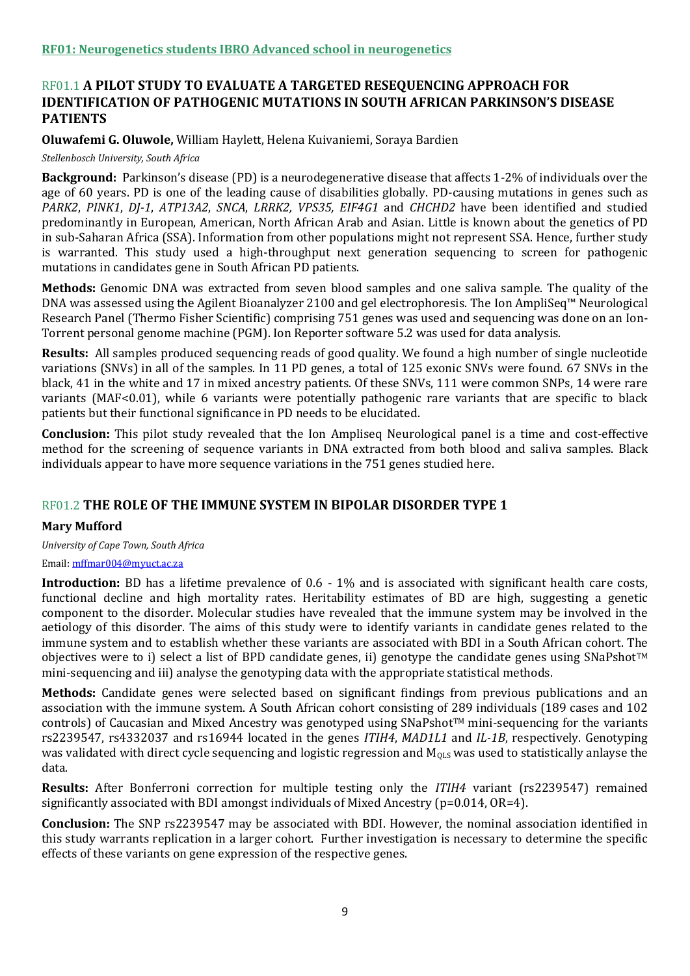# RF01.1 **A PILOT STUDY TO EVALUATE A TARGETED RESEQUENCING APPROACH FOR IDENTIFICATION OF PATHOGENIC MUTATIONS IN SOUTH AFRICAN PARKINSON'S DISEASE PATIENTS**

**Oluwafemi G. Oluwole,** William Haylett, Helena Kuivaniemi, Soraya Bardien

### *Stellenbosch University, South Africa*

**Background:** Parkinson's disease (PD) is a neurodegenerative disease that affects 1-2% of individuals over the age of 60 years. PD is one of the leading cause of disabilities globally. PD-causing mutations in genes such as *PARK2*, *PINK1*, *DJ-1*, *ATP13A2*, *SNCA*, *LRRK2, VPS35, EIF4G1* and *CHCHD2* have been identified and studied predominantly in European, American, North African Arab and Asian. Little is known about the genetics of PD in sub-Saharan Africa (SSA). Information from other populations might not represent SSA. Hence, further study is warranted. This study used a high-throughput next generation sequencing to screen for pathogenic mutations in candidates gene in South African PD patients.

**Methods:** Genomic DNA was extracted from seven blood samples and one saliva sample. The quality of the DNA was assessed using the Agilent Bioanalyzer 2100 and gel electrophoresis. The Ion AmpliSeq™ Neurological Research Panel (Thermo Fisher Scientific) comprising 751 genes was used and sequencing was done on an Ion-Torrent personal genome machine (PGM). Ion Reporter software 5.2 was used for data analysis.

**Results:** All samples produced sequencing reads of good quality. We found a high number of single nucleotide variations (SNVs) in all of the samples. In 11 PD genes, a total of 125 exonic SNVs were found. 67 SNVs in the black, 41 in the white and 17 in mixed ancestry patients. Of these SNVs, 111 were common SNPs, 14 were rare variants (MAF<0.01), while 6 variants were potentially pathogenic rare variants that are specific to black patients but their functional significance in PD needs to be elucidated.

**Conclusion:** This pilot study revealed that the Ion Ampliseq Neurological panel is a time and cost-effective method for the screening of sequence variants in DNA extracted from both blood and saliva samples. Black individuals appear to have more sequence variations in the 751 genes studied here.

# RF01.2 **THE ROLE OF THE IMMUNE SYSTEM IN BIPOLAR DISORDER TYPE 1**

# **Mary Mufford**

*University of Cape Town, South Africa* Email[: mffmar004@myuct.ac.za](mailto:mffmar004@myuct.ac.za)

**Introduction:** BD has a lifetime prevalence of 0.6 - 1% and is associated with significant health care costs, functional decline and high mortality rates. Heritability estimates of BD are high, suggesting a genetic component to the disorder. Molecular studies have revealed that the immune system may be involved in the aetiology of this disorder. The aims of this study were to identify variants in candidate genes related to the immune system and to establish whether these variants are associated with BDI in a South African cohort. The objectives were to i) select a list of BPD candidate genes, ii) genotype the candidate genes using SNaPshot™ mini-sequencing and iii) analyse the genotyping data with the appropriate statistical methods.

**Methods:** Candidate genes were selected based on significant findings from previous publications and an association with the immune system. A South African cohort consisting of 289 individuals (189 cases and 102 controls) of Caucasian and Mixed Ancestry was genotyped using SNaPshot™ mini-sequencing for the variants rs2239547, rs4332037 and rs16944 located in the genes *ITIH4*, *MAD1L1* and *IL-1B*, respectively. Genotyping was validated with direct cycle sequencing and logistic regression and M<sub>OLS</sub> was used to statistically anlayse the data.

**Results:** After Bonferroni correction for multiple testing only the *ITIH4* variant (rs2239547) remained significantly associated with BDI amongst individuals of Mixed Ancestry ( $p=0.014$ , OR=4).

**Conclusion:** The SNP rs2239547 may be associated with BDI. However, the nominal association identified in this study warrants replication in a larger cohort. Further investigation is necessary to determine the specific effects of these variants on gene expression of the respective genes.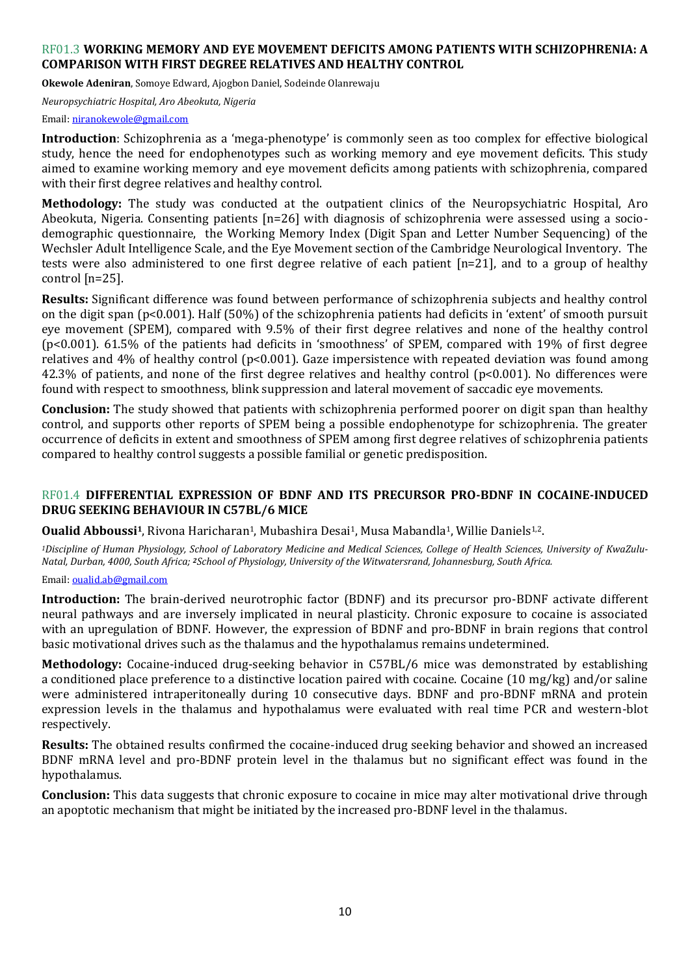# RF01.3 **WORKING MEMORY AND EYE MOVEMENT DEFICITS AMONG PATIENTS WITH SCHIZOPHRENIA: A COMPARISON WITH FIRST DEGREE RELATIVES AND HEALTHY CONTROL**

**Okewole Adeniran**, Somoye Edward, Ajogbon Daniel, Sodeinde Olanrewaju

*Neuropsychiatric Hospital, Aro Abeokuta, Nigeria*

#### Email[: niranokewole@gmail.com](mailto:niranokewole@gmail.com)

**Introduction**: Schizophrenia as a 'mega-phenotype' is commonly seen as too complex for effective biological study, hence the need for endophenotypes such as working memory and eye movement deficits. This study aimed to examine working memory and eye movement deficits among patients with schizophrenia, compared with their first degree relatives and healthy control.

**Methodology:** The study was conducted at the outpatient clinics of the Neuropsychiatric Hospital, Aro Abeokuta, Nigeria. Consenting patients [n=26] with diagnosis of schizophrenia were assessed using a sociodemographic questionnaire, the Working Memory Index (Digit Span and Letter Number Sequencing) of the Wechsler Adult Intelligence Scale, and the Eye Movement section of the Cambridge Neurological Inventory. The tests were also administered to one first degree relative of each patient [n=21], and to a group of healthy control [n=25].

**Results:** Significant difference was found between performance of schizophrenia subjects and healthy control on the digit span (p<0.001). Half (50%) of the schizophrenia patients had deficits in 'extent' of smooth pursuit eye movement (SPEM), compared with 9.5% of their first degree relatives and none of the healthy control (p<0.001). 61.5% of the patients had deficits in 'smoothness' of SPEM, compared with 19% of first degree relatives and 4% of healthy control ( $p<0.001$ ). Gaze impersistence with repeated deviation was found among 42.3% of patients, and none of the first degree relatives and healthy control (p<0.001). No differences were found with respect to smoothness, blink suppression and lateral movement of saccadic eye movements.

**Conclusion:** The study showed that patients with schizophrenia performed poorer on digit span than healthy control, and supports other reports of SPEM being a possible endophenotype for schizophrenia. The greater occurrence of deficits in extent and smoothness of SPEM among first degree relatives of schizophrenia patients compared to healthy control suggests a possible familial or genetic predisposition.

# RF01.4 **DIFFERENTIAL EXPRESSION OF BDNF AND ITS PRECURSOR PRO-BDNF IN COCAINE-INDUCED DRUG SEEKING BEHAVIOUR IN C57BL/6 MICE**

**Oualid Abboussi<sup>1</sup>**, Rivona Haricharan<sup>1</sup>, Mubashira Desai<sup>1</sup>, Musa Mabandla<sup>1</sup>, Willie Daniels<sup>1,2</sup>.

*<sup>1</sup>Discipline of Human Physiology, School of Laboratory Medicine and Medical Sciences, College of Health Sciences, University of KwaZulu-Natal, Durban, 4000, South Africa; 2School of Physiology, University of the Witwatersrand, Johannesburg, South Africa.*

Email: [oualid.ab@gmail.com](mailto:oualid.ab@gmail.com)

**Introduction:** The brain-derived neurotrophic factor (BDNF) and its precursor pro-BDNF activate different neural pathways and are inversely implicated in neural plasticity. Chronic exposure to cocaine is associated with an upregulation of BDNF. However, the expression of BDNF and pro-BDNF in brain regions that control basic motivational drives such as the thalamus and the hypothalamus remains undetermined.

**Methodology:** Cocaine-induced drug-seeking behavior in C57BL/6 mice was demonstrated by establishing a conditioned place preference to a distinctive location paired with cocaine. Cocaine (10 mg/kg) and/or saline were administered intraperitoneally during 10 consecutive days. BDNF and pro-BDNF mRNA and protein expression levels in the thalamus and hypothalamus were evaluated with real time PCR and western-blot respectively.

**Results:** The obtained results confirmed the cocaine-induced drug seeking behavior and showed an increased BDNF mRNA level and pro-BDNF protein level in the thalamus but no significant effect was found in the hypothalamus.

**Conclusion:** This data suggests that chronic exposure to cocaine in mice may alter motivational drive through an apoptotic mechanism that might be initiated by the increased pro-BDNF level in the thalamus.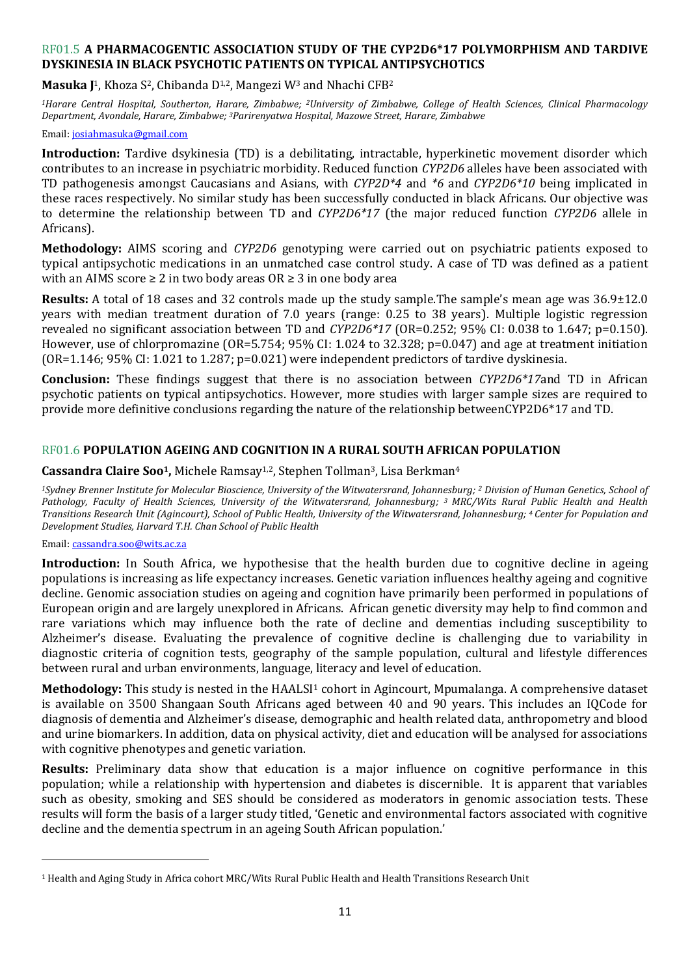# RF01.5 **A PHARMACOGENTIC ASSOCIATION STUDY OF THE CYP2D6\*17 POLYMORPHISM AND TARDIVE DYSKINESIA IN BLACK PSYCHOTIC PATIENTS ON TYPICAL ANTIPSYCHOTICS**

# **Masuka J**<sup>1</sup>, Khoza S<sup>2</sup>, Chibanda D<sup>1,2</sup>, Mangezi W<sup>3</sup> and Nhachi CFB<sup>2</sup>

*<sup>1</sup>Harare Central Hospital, Southerton, Harare, Zimbabwe; 2University of Zimbabwe, College of Health Sciences, Clinical Pharmacology Department, Avondale, Harare, Zimbabwe; <sup>3</sup>Parirenyatwa Hospital, Mazowe Street, Harare, Zimbabwe*

Email[: josiahmasuka@gmail.com](mailto:josiahmasuka@gmail.com)

**Introduction:** Tardive dsykinesia (TD) is a debilitating, intractable, hyperkinetic movement disorder which contributes to an increase in psychiatric morbidity. Reduced function *CYP2D6* alleles have been associated with TD pathogenesis amongst Caucasians and Asians, with *CYP2D\*4* and *\*6* and *CYP2D6\*10* being implicated in these races respectively. No similar study has been successfully conducted in black Africans. Our objective was to determine the relationship between TD and *CYP2D6\*17* (the major reduced function *CYP2D6* allele in Africans).

**Methodology:** AIMS scoring and *CYP2D6* genotyping were carried out on psychiatric patients exposed to typical antipsychotic medications in an unmatched case control study. A case of TD was defined as a patient with an AIMS score  $\geq 2$  in two body areas OR  $\geq 3$  in one body area

**Results:** A total of 18 cases and 32 controls made up the study sample.The sample's mean age was 36.9±12.0 years with median treatment duration of 7.0 years (range: 0.25 to 38 years). Multiple logistic regression revealed no significant association between TD and *CYP2D6\*17* (OR=0.252; 95% CI: 0.038 to 1.647; p=0.150). However, use of chlorpromazine (OR=5.754; 95% CI: 1.024 to 32.328; p=0.047) and age at treatment initiation (OR=1.146; 95% CI: 1.021 to 1.287; p=0.021) were independent predictors of tardive dyskinesia.

**Conclusion:** These findings suggest that there is no association between *CYP2D6\*17*and TD in African psychotic patients on typical antipsychotics. However, more studies with larger sample sizes are required to provide more definitive conclusions regarding the nature of the relationship betweenCYP2D6\*17 and TD.

# RF01.6 **POPULATION AGEING AND COGNITION IN A RURAL SOUTH AFRICAN POPULATION**

# **Cassandra Claire Soo1,** Michele Ramsay1,2, Stephen Tollman3, Lisa Berkman<sup>4</sup>

*<sup>1</sup>Sydney Brenner Institute for Molecular Bioscience, University of the Witwatersrand, Johannesburg; <sup>2</sup> Division of Human Genetics, School of Pathology, Faculty of Health Sciences, University of the Witwatersrand, Johannesburg; 3 MRC/Wits Rural Public Health and Health Transitions Research Unit (Agincourt), School of Public Health, University of the Witwatersrand, Johannesburg; 4 Center for Population and Development Studies, Harvard T.H. Chan School of Public Health*

#### Email[: cassandra.soo@wits.ac.za](mailto:cassandra.soo@wits.ac.za)

**.** 

**Introduction:** In South Africa, we hypothesise that the health burden due to cognitive decline in ageing populations is increasing as life expectancy increases. Genetic variation influences healthy ageing and cognitive decline. Genomic association studies on ageing and cognition have primarily been performed in populations of European origin and are largely unexplored in Africans. African genetic diversity may help to find common and rare variations which may influence both the rate of decline and dementias including susceptibility to Alzheimer's disease. Evaluating the prevalence of cognitive decline is challenging due to variability in diagnostic criteria of cognition tests, geography of the sample population, cultural and lifestyle differences between rural and urban environments, language, literacy and level of education.

**Methodology:** This study is nested in the HAALSI<sup>1</sup> cohort in Agincourt, Mpumalanga. A comprehensive dataset is available on 3500 Shangaan South Africans aged between 40 and 90 years. This includes an IQCode for diagnosis of dementia and Alzheimer's disease, demographic and health related data, anthropometry and blood and urine biomarkers. In addition, data on physical activity, diet and education will be analysed for associations with cognitive phenotypes and genetic variation.

**Results:** Preliminary data show that education is a major influence on cognitive performance in this population; while a relationship with hypertension and diabetes is discernible. It is apparent that variables such as obesity, smoking and SES should be considered as moderators in genomic association tests. These results will form the basis of a larger study titled, 'Genetic and environmental factors associated with cognitive decline and the dementia spectrum in an ageing South African population.'

<sup>1</sup> Health and Aging Study in Africa cohort MRC/Wits Rural Public Health and Health Transitions Research Unit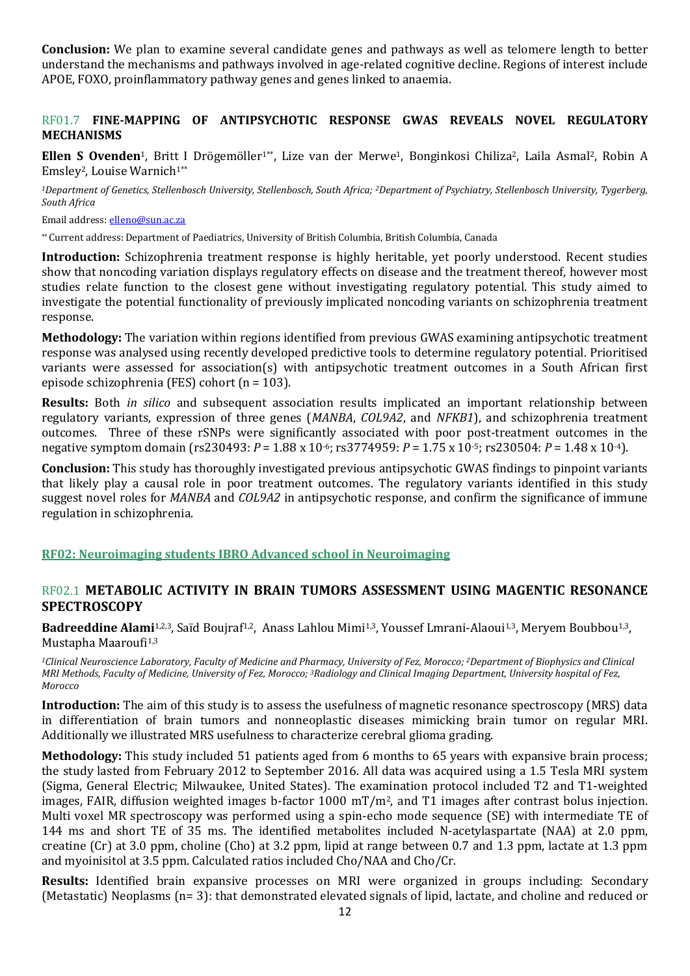**Conclusion:** We plan to examine several candidate genes and pathways as well as telomere length to better understand the mechanisms and pathways involved in age-related cognitive decline. Regions of interest include APOE, FOXO, proinflammatory pathway genes and genes linked to anaemia.

# RF01.7 **FINE-MAPPING OF ANTIPSYCHOTIC RESPONSE GWAS REVEALS NOVEL REGULATORY MECHANISMS**

**Ellen S Ovenden**1, Britt I Drögemöller1\*\*, Lize van der Merwe1, Bonginkosi Chiliza2, Laila Asmal2, Robin A Emsley<sup>2</sup>, Louise Warnich<sup>1\*\*</sup>

*<sup>1</sup>Department of Genetics, Stellenbosch University, Stellenbosch, South Africa; 2Department of Psychiatry, Stellenbosch University, Tygerberg, South Africa*

#### Email address[: elleno@sun.ac.za](mailto:elleno@sun.ac.za)

\*\* Current address:Department of Paediatrics, University of British Columbia, British Columbia, Canada

**Introduction:** Schizophrenia treatment response is highly heritable, yet poorly understood. Recent studies show that noncoding variation displays regulatory effects on disease and the treatment thereof, however most studies relate function to the closest gene without investigating regulatory potential. This study aimed to investigate the potential functionality of previously implicated noncoding variants on schizophrenia treatment response.

**Methodology:** The variation within regions identified from previous GWAS examining antipsychotic treatment response was analysed using recently developed predictive tools to determine regulatory potential. Prioritised variants were assessed for association(s) with antipsychotic treatment outcomes in a South African first episode schizophrenia (FES) cohort (n = 103).

**Results:** Both *in silico* and subsequent association results implicated an important relationship between regulatory variants, expression of three genes (*MANBA*, *COL9A2*, and *NFKB1*), and schizophrenia treatment outcomes. Three of these rSNPs were significantly associated with poor post-treatment outcomes in the negative symptom domain (rs230493: *P* = 1.88 x 10-6; rs3774959: *P* = 1.75 x 10-5; rs230504: *P* = 1.48 x 10-4).

**Conclusion:** This study has thoroughly investigated previous antipsychotic GWAS findings to pinpoint variants that likely play a causal role in poor treatment outcomes. The regulatory variants identified in this study suggest novel roles for *MANBA* and *COL9A2* in antipsychotic response, and confirm the significance of immune regulation in schizophrenia.

# **RF02: Neuroimaging students IBRO Advanced school in Neuroimaging**

# RF02.1 **METABOLIC ACTIVITY IN BRAIN TUMORS ASSESSMENT USING MAGENTIC RESONANCE SPECTROSCOPY**

**Badreeddine Alami**<sup>1,2,3</sup>, Saïd Boujraf<sup>1,2</sup>, Anass Lahlou Mimi<sup>1,3</sup>, Youssef Lmrani-Alaoui<sup>1,3</sup>, Meryem Boubbou<sup>1,3</sup>, Mustapha Maaroufi<sup>1,3</sup>

*<sup>1</sup>Clinical Neuroscience Laboratory, Faculty of Medicine and Pharmacy, University of Fez, Morocco; 2Department of Biophysics and Clinical MRI Methods, Faculty of Medicine, University of Fez, Morocco; 3Radiology and Clinical Imaging Department, University hospital of Fez, Morocco*

**Introduction:** The aim of this study is to assess the usefulness of magnetic resonance spectroscopy (MRS) data in differentiation of brain tumors and nonneoplastic diseases mimicking brain tumor on regular MRI. Additionally we illustrated MRS usefulness to characterize cerebral glioma grading.

**Methodology:** This study included 51 patients aged from 6 months to 65 years with expansive brain process; the study lasted from February 2012 to September 2016. All data was acquired using a 1.5 Tesla MRI system (Sigma, General Electric; Milwaukee, United States). The examination protocol included T2 and T1-weighted images, FAIR, diffusion weighted images b-factor  $1000 \text{ mT/m}^2$ , and T1 images after contrast bolus injection. Multi voxel MR spectroscopy was performed using a spin-echo mode sequence (SE) with intermediate TE of 144 ms and short TE of 35 ms. The identified metabolites included N-acetylaspartate (NAA) at 2.0 ppm, creatine (Cr) at 3.0 ppm, choline (Cho) at 3.2 ppm, lipid at range between 0.7 and 1.3 ppm, lactate at 1.3 ppm and myoinisitol at 3.5 ppm. Calculated ratios included Cho/NAA and Cho/Cr.

**Results:** Identified brain expansive processes on MRI were organized in groups including: Secondary (Metastatic) Neoplasms (n= 3): that demonstrated elevated signals of lipid, lactate, and choline and reduced or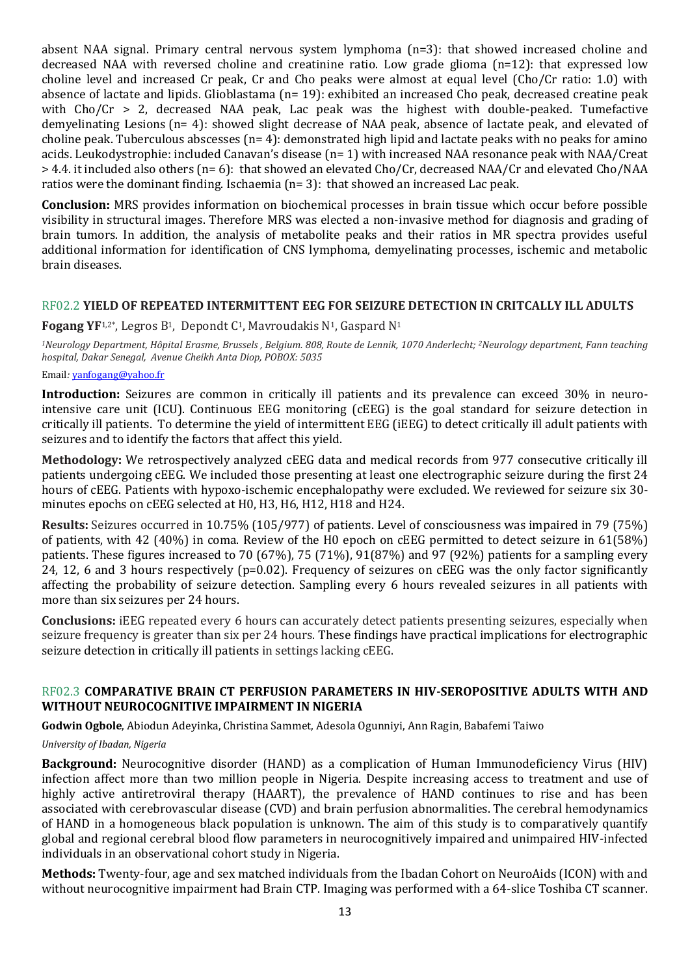absent NAA signal. Primary central nervous system lymphoma (n=3): that showed increased choline and decreased NAA with reversed choline and creatinine ratio. Low grade glioma (n=12): that expressed low choline level and increased Cr peak, Cr and Cho peaks were almost at equal level (Cho/Cr ratio: 1.0) with absence of lactate and lipids. Glioblastama (n= 19): exhibited an increased Cho peak, decreased creatine peak with Cho/Cr [> 2, d](http://www.besancon.fr/index.php?p=171)ecreased NAA peak, Lac peak was the highest with double-peaked. Tumefactive demyelinating Lesions (n= 4): showed slight decrease of NAA peak, absence of lactate peak, and elevated of choline peak. Tuberculous abscesses  $(n= 4)$ : demonstrated high lipid and lactate peaks with no peaks for amino acids. Leukodystrophie: included Canavan's disease (n= 1) with increased NAA resonance peak with NAA/Creat > 4.4. it included also others (n= 6): that showed an elevated Cho/Cr, decreased NAA/Cr and elevated Cho/NAA ratios were the dominant finding. Ischaemia (n= 3): that showed an increased Lac peak.

**Conclusion:** MRS provides information on biochemical processes in brain tissue which occur before possible visibility in structural images. Therefore MRS was elected a non-invasive method for diagnosis and grading of brain tumors. In addition, the analysis of metabolite peaks and their ratios in MR spectra provides useful additional information for identification of CNS lymphoma, demyelinating processes, ischemic and metabolic brain diseases.

#### RF02.2 **YIELD OF REPEATED INTERMITTENT EEG FOR SEIZURE DETECTION IN CRITCALLY ILL ADULTS**

#### **Fogang YF**<sup>1,2\*</sup>, Legros B<sup>1</sup>, Depondt C<sup>1</sup>, Mayroudakis N<sup>1</sup>, Gaspard N<sup>1</sup>

*<sup>1</sup>Neurology Department, Hôpital Erasme, Brussels , Belgium. 808, Route de Lennik, 1070 Anderlecht; 2Neurology department, Fann teaching hospital, Dakar Senegal, Avenue Cheikh Anta Diop, POBOX: 5035* 

Email*:* [yanfogang@yahoo.fr](mailto:yanfogang@yahoo.fr)

**Introduction:** Seizures are common in critically ill patients and its prevalence can exceed 30% in neurointensive care unit (ICU). Continuous EEG monitoring (cEEG) is the goal standard for seizure detection in critically ill patients. To determine the yield of intermittent EEG (iEEG) to detect critically ill adult patients with seizures and to identify the factors that affect this yield.

**Methodology:** We retrospectively analyzed cEEG data and medical records from 977 consecutive critically ill patients undergoing cEEG. We included those presenting at least one electrographic seizure during the first 24 hours of cEEG. Patients with hypoxo-ischemic encephalopathy were excluded. We reviewed for seizure six 30 minutes epochs on cEEG selected at H0, H3, H6, H12, H18 and H24.

**Results:** Seizures occurred in 10.75% (105/977) of patients. Level of consciousness was impaired in 79 (75%) of patients, with 42 (40%) in coma. Review of the H0 epoch on cEEG permitted to detect seizure in 61(58%) patients. These figures increased to 70 (67%), 75 (71%), 91(87%) and 97 (92%) patients for a sampling every 24, 12, 6 and 3 hours respectively (p=0.02). Frequency of seizures on cEEG was the only factor significantly affecting the probability of seizure detection. Sampling every 6 hours revealed seizures in all patients with more than six seizures per 24 hours.

**Conclusions:** iEEG repeated every 6 hours can accurately detect patients presenting seizures, especially when seizure frequency is greater than six per 24 hours. These findings have practical implications for electrographic seizure detection in critically ill patients in settings lacking cEEG.

# RF02.3 **COMPARATIVE BRAIN CT PERFUSION PARAMETERS IN HIV-SEROPOSITIVE ADULTS WITH AND WITHOUT NEUROCOGNITIVE IMPAIRMENT IN NIGERIA**

**Godwin Ogbole**, Abiodun Adeyinka, Christina Sammet, Adesola Ogunniyi, Ann Ragin, Babafemi Taiwo

#### *University of Ibadan, Nigeria*

**Background:** Neurocognitive disorder (HAND) as a complication of Human Immunodeficiency Virus (HIV) infection affect more than two million people in Nigeria. Despite increasing access to treatment and use of highly active antiretroviral therapy (HAART), the prevalence of HAND continues to rise and has been associated with cerebrovascular disease (CVD) and brain perfusion abnormalities. The cerebral hemodynamics of HAND in a homogeneous black population is unknown. The aim of this study is to comparatively quantify global and regional cerebral blood flow parameters in neurocognitively impaired and unimpaired HIV-infected individuals in an observational cohort study in Nigeria.

**Methods:** Twenty-four, age and sex matched individuals from the Ibadan Cohort on NeuroAids (ICON) with and without neurocognitive impairment had Brain CTP. Imaging was performed with a 64-slice Toshiba CT scanner.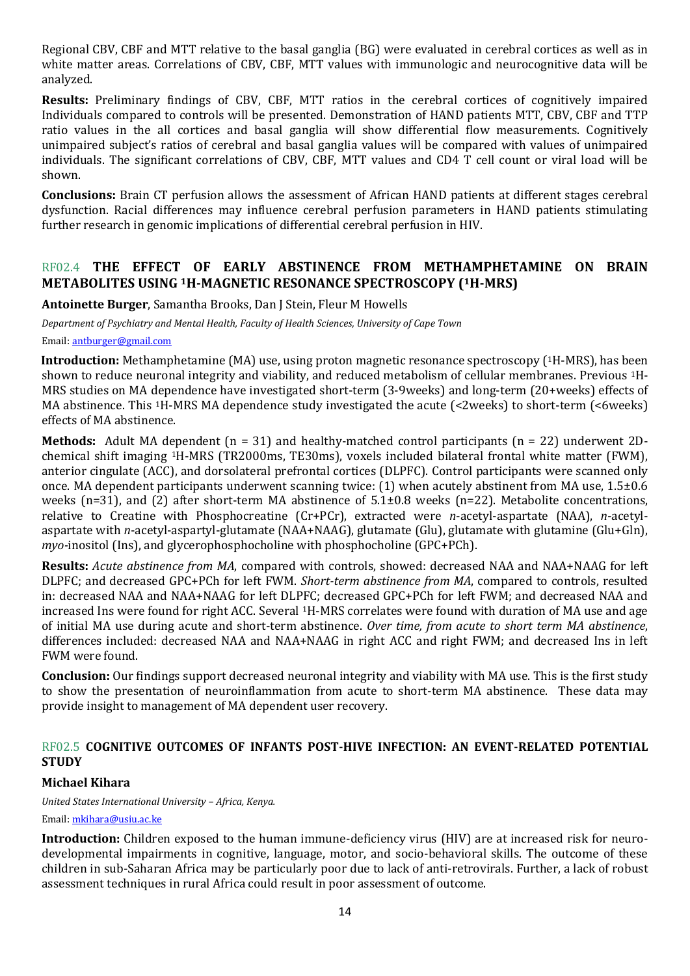Regional CBV, CBF and MTT relative to the basal ganglia (BG) were evaluated in cerebral cortices as well as in white matter areas. Correlations of CBV, CBF, MTT values with immunologic and neurocognitive data will be analyzed.

**Results:** Preliminary findings of CBV, CBF, MTT ratios in the cerebral cortices of cognitively impaired Individuals compared to controls will be presented. Demonstration of HAND patients MTT, CBV, CBF and TTP ratio values in the all cortices and basal ganglia will show differential flow measurements. Cognitively unimpaired subject's ratios of cerebral and basal ganglia values will be compared with values of unimpaired individuals. The significant correlations of CBV, CBF, MTT values and CD4 T cell count or viral load will be shown.

**Conclusions:** Brain CT perfusion allows the assessment of African HAND patients at different stages cerebral dysfunction. Racial differences may influence cerebral perfusion parameters in HAND patients stimulating further research in genomic implications of differential cerebral perfusion in HIV.

# RF02.4 **THE EFFECT OF EARLY ABSTINENCE FROM METHAMPHETAMINE ON BRAIN METABOLITES USING 1H-MAGNETIC RESONANCE SPECTROSCOPY (1H-MRS)**

**Antoinette Burger**, Samantha Brooks, Dan J Stein, Fleur M Howells

*Department of Psychiatry and Mental Health, Faculty of Health Sciences, University of Cape Town*

#### Email[: antburger@gmail.com](mailto:antburger@gmail.com)

**Introduction:** Methamphetamine (MA) use, using proton magnetic resonance spectroscopy (1H-MRS), has been shown to reduce neuronal integrity and viability, and reduced metabolism of cellular membranes. Previous 1H-MRS studies on MA dependence have investigated short-term (3-9weeks) and long-term (20+weeks) effects of MA abstinence. This <sup>1</sup>H-MRS MA dependence study investigated the acute (<2weeks) to short-term (<6weeks) effects of MA abstinence.

**Methods:** Adult MA dependent (n = 31) and healthy-matched control participants (n = 22) underwent 2Dchemical shift imaging 1H-MRS (TR2000ms, TE30ms), voxels included bilateral frontal white matter (FWM), anterior cingulate (ACC), and dorsolateral prefrontal cortices (DLPFC). Control participants were scanned only once. MA dependent participants underwent scanning twice: (1) when acutely abstinent from MA use, 1.5±0.6 weeks (n=31), and (2) after short-term MA abstinence of  $5.1\pm0.8$  weeks (n=22). Metabolite concentrations, relative to Creatine with Phosphocreatine (Cr+PCr), extracted were *n*-acetyl-aspartate (NAA), *n*-acetylaspartate with *n*-acetyl-aspartyl-glutamate (NAA+NAAG), glutamate (Glu), glutamate with glutamine (Glu+Gln), *myo-*inositol (Ins), and glycerophosphocholine with phosphocholine (GPC+PCh).

**Results:** *Acute abstinence from MA*, compared with controls, showed: decreased NAA and NAA+NAAG for left DLPFC; and decreased GPC+PCh for left FWM. *Short-term abstinence from MA*, compared to controls, resulted in: decreased NAA and NAA+NAAG for left DLPFC; decreased GPC+PCh for left FWM; and decreased NAA and increased Ins were found for right ACC. Several 1H-MRS correlates were found with duration of MA use and age of initial MA use during acute and short-term abstinence. *Over time, from acute to short term MA abstinence*, differences included: decreased NAA and NAA+NAAG in right ACC and right FWM; and decreased Ins in left FWM were found.

**Conclusion:** Our findings support decreased neuronal integrity and viability with MA use. This is the first study to show the presentation of neuroinflammation from acute to short-term MA abstinence. These data may provide insight to management of MA dependent user recovery.

# RF02.5 **COGNITIVE OUTCOMES OF INFANTS POST-HIVE INFECTION: AN EVENT-RELATED POTENTIAL STUDY**

#### **Michael Kihara**

*United States International University – Africa, Kenya.* 

#### Email[: mkihara@usiu.ac.ke](mailto:mkihara@usiu.ac.ke)

**Introduction:** Children exposed to the human immune-deficiency virus (HIV) are at increased risk for neurodevelopmental impairments in cognitive, language, motor, and socio-behavioral skills. The outcome of these children in sub-Saharan Africa may be particularly poor due to lack of anti-retrovirals. Further, a lack of robust assessment techniques in rural Africa could result in poor assessment of outcome.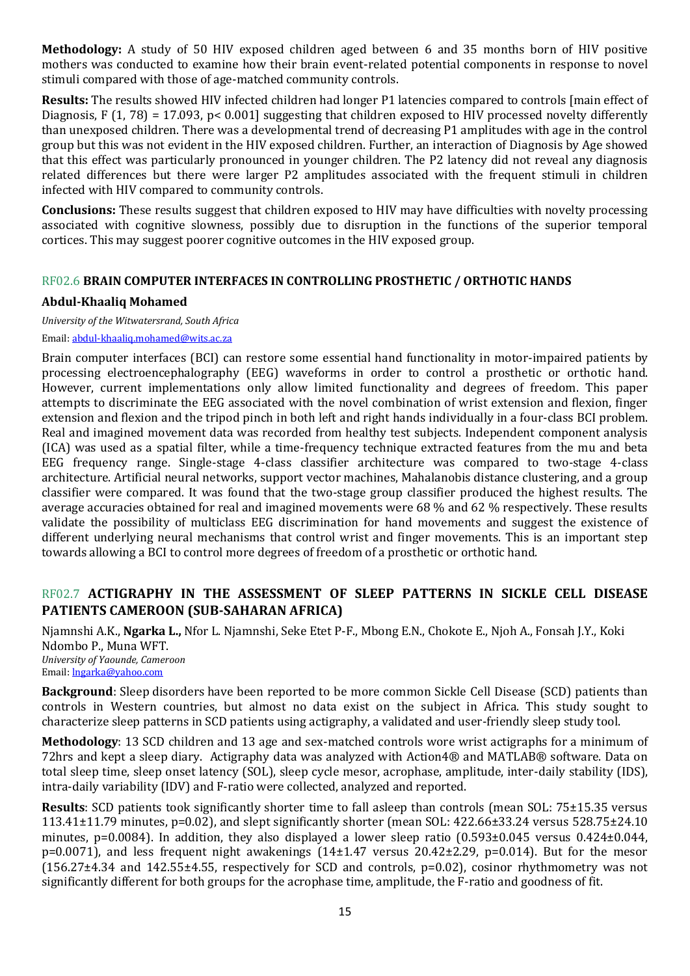**Methodology:** A study of 50 HIV exposed children aged between 6 and 35 months born of HIV positive mothers was conducted to examine how their brain event-related potential components in response to novel stimuli compared with those of age-matched community controls.

**Results:** The results showed HIV infected children had longer P1 latencies compared to controls [main effect of Diagnosis, F (1, 78) = 17.093, p< 0.001] suggesting that children exposed to HIV processed novelty differently than unexposed children. There was a developmental trend of decreasing P1 amplitudes with age in the control group but this was not evident in the HIV exposed children. Further, an interaction of Diagnosis by Age showed that this effect was particularly pronounced in younger children. The P2 latency did not reveal any diagnosis related differences but there were larger P2 amplitudes associated with the frequent stimuli in children infected with HIV compared to community controls.

**Conclusions:** These results suggest that children exposed to HIV may have difficulties with novelty processing associated with cognitive slowness, possibly due to disruption in the functions of the superior temporal cortices. This may suggest poorer cognitive outcomes in the HIV exposed group.

# RF02.6 **BRAIN COMPUTER INTERFACES IN CONTROLLING PROSTHETIC / ORTHOTIC HANDS**

### **Abdul-Khaaliq Mohamed**

*University of the Witwatersrand, South Africa* Email[: abdul-khaaliq.mohamed@wits.ac.za](mailto:abdul-khaaliq.mohamed@wits.ac.za)

Brain computer interfaces (BCI) can restore some essential hand functionality in motor-impaired patients by processing electroencephalography (EEG) waveforms in order to control a prosthetic or orthotic hand. However, current implementations only allow limited functionality and degrees of freedom. This paper attempts to discriminate the EEG associated with the novel combination of wrist extension and flexion, finger extension and flexion and the tripod pinch in both left and right hands individually in a four-class BCI problem. Real and imagined movement data was recorded from healthy test subjects. Independent component analysis (ICA) was used as a spatial filter, while a time-frequency technique extracted features from the mu and beta EEG frequency range. Single-stage 4-class classifier architecture was compared to two-stage 4-class architecture. Artificial neural networks, support vector machines, Mahalanobis distance clustering, and a group classifier were compared. It was found that the two-stage group classifier produced the highest results. The average accuracies obtained for real and imagined movements were 68 % and 62 % respectively. These results validate the possibility of multiclass EEG discrimination for hand movements and suggest the existence of different underlying neural mechanisms that control wrist and finger movements. This is an important step towards allowing a BCI to control more degrees of freedom of a prosthetic or orthotic hand.

# RF02.7 **ACTIGRAPHY IN THE ASSESSMENT OF SLEEP PATTERNS IN SICKLE CELL DISEASE PATIENTS CAMEROON (SUB-SAHARAN AFRICA)**

Njamnshi A.K., **Ngarka L.,** Nfor L. Njamnshi, Seke Etet P-F., Mbong E.N., Chokote E., Njoh A., Fonsah J.Y., Koki Ndombo P., Muna WFT. *University of Yaounde, Cameroon* Email[: lngarka@yahoo.com](mailto:lngarka@yahoo.com)

**Background**: Sleep disorders have been reported to be more common Sickle Cell Disease (SCD) patients than controls in Western countries, but almost no data exist on the subject in Africa. This study sought to characterize sleep patterns in SCD patients using actigraphy, a validated and user-friendly sleep study tool.

**Methodology**: 13 SCD children and 13 age and sex-matched controls wore wrist actigraphs for a minimum of 72hrs and kept a sleep diary. Actigraphy data was analyzed with Action4® and MATLAB® software. Data on total sleep time, sleep onset latency (SOL), sleep cycle mesor, acrophase, amplitude, inter-daily stability (IDS), intra-daily variability (IDV) and F-ratio were collected, analyzed and reported.

**Results**: SCD patients took significantly shorter time to fall asleep than controls (mean SOL: 75±15.35 versus 113.41±11.79 minutes, p=0.02), and slept significantly shorter (mean SOL: 422.66±33.24 versus 528.75±24.10 minutes, p=0.0084). In addition, they also displayed a lower sleep ratio (0.593±0.045 versus 0.424±0.044, p=0.0071), and less frequent night awakenings (14±1.47 versus 20.42±2.29, p=0.014). But for the mesor (156.27±4.34 and 142.55±4.55, respectively for SCD and controls, p=0.02), cosinor rhythmometry was not significantly different for both groups for the acrophase time, amplitude, the F-ratio and goodness of fit.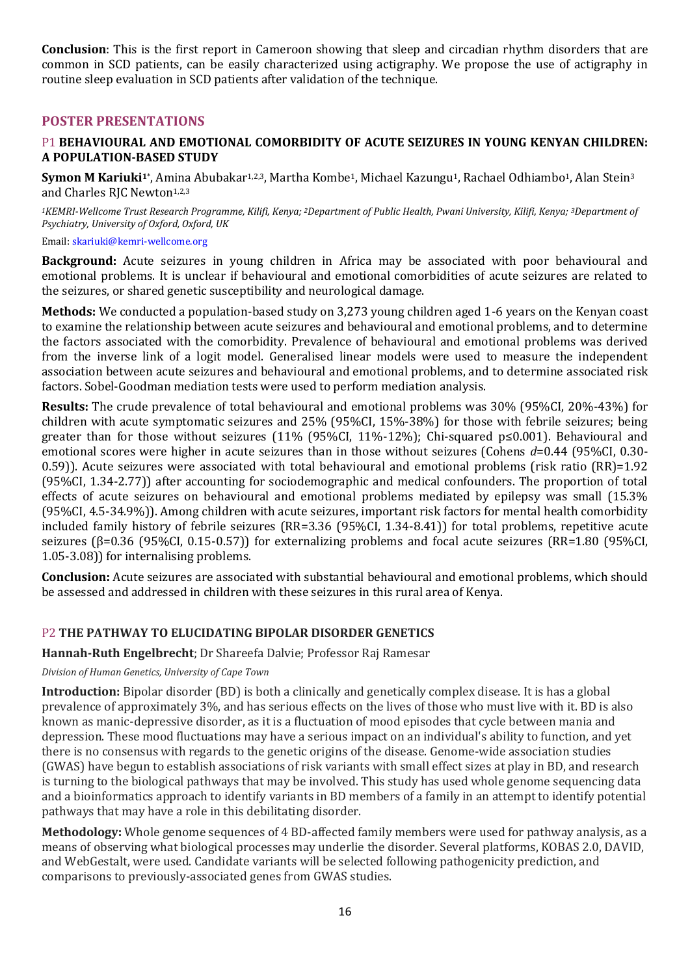**Conclusion**: This is the first report in Cameroon showing that sleep and circadian rhythm disorders that are common in SCD patients, can be easily characterized using actigraphy. We propose the use of actigraphy in routine sleep evaluation in SCD patients after validation of the technique.

# **POSTER PRESENTATIONS**

# P1 **BEHAVIOURAL AND EMOTIONAL COMORBIDITY OF ACUTE SEIZURES IN YOUNG KENYAN CHILDREN: A POPULATION-BASED STUDY**

**Symon M Kariuki<sup>1\*</sup>, Amina Abubakar<sup>1,2,3</sup>, Martha Kombe<sup>1</sup>, Michael Kazungu<sup>1</sup>, Rachael Odhiambo<sup>1</sup>, Alan Stein<sup>3</sup>** and Charles RJC Newton<sup>1,2,3</sup>

*<sup>1</sup>KEMRI-Wellcome Trust Research Programme, Kilifi, Kenya; 2Department of Public Health, Pwani University, Kilifi, Kenya; 3Department of Psychiatry, University of Oxford, Oxford, UK*

Email[: skariuki@kemri-wellcome.org](mailto:skariuki@kemri-wellcome.org)

**Background:** Acute seizures in young children in Africa may be associated with poor behavioural and emotional problems. It is unclear if behavioural and emotional comorbidities of acute seizures are related to the seizures, or shared genetic susceptibility and neurological damage.

**Methods:** We conducted a population-based study on 3,273 young children aged 1-6 years on the Kenyan coast to examine the relationship between acute seizures and behavioural and emotional problems, and to determine the factors associated with the comorbidity. Prevalence of behavioural and emotional problems was derived from the inverse link of a logit model. Generalised linear models were used to measure the independent association between acute seizures and behavioural and emotional problems, and to determine associated risk factors. Sobel-Goodman mediation tests were used to perform mediation analysis.

**Results:** The crude prevalence of total behavioural and emotional problems was 30% (95%CI, 20%-43%) for children with acute symptomatic seizures and 25% (95%CI, 15%-38%) for those with febrile seizures; being greater than for those without seizures (11% (95%CI, 11%-12%); Chi-squared p≤0.001). Behavioural and emotional scores were higher in acute seizures than in those without seizures (Cohens *d*=0.44 (95%CI, 0.30- 0.59)). Acute seizures were associated with total behavioural and emotional problems (risk ratio (RR)=1.92 (95%CI, 1.34-2.77)) after accounting for sociodemographic and medical confounders. The proportion of total effects of acute seizures on behavioural and emotional problems mediated by epilepsy was small (15.3% (95%CI, 4.5-34.9%)). Among children with acute seizures, important risk factors for mental health comorbidity included family history of febrile seizures (RR=3.36 (95%CI, 1.34-8.41)) for total problems, repetitive acute seizures (β=0.36 (95%CI, 0.15-0.57)) for externalizing problems and focal acute seizures (RR=1.80 (95%CI, 1.05-3.08)) for internalising problems.

**Conclusion:** Acute seizures are associated with substantial behavioural and emotional problems, which should be assessed and addressed in children with these seizures in this rural area of Kenya.

# P2 **THE PATHWAY TO ELUCIDATING BIPOLAR DISORDER GENETICS**

**Hannah-Ruth Engelbrecht**; Dr Shareefa Dalvie; Professor Raj Ramesar

#### *Division of Human Genetics, University of Cape Town*

**Introduction:** Bipolar disorder (BD) is both a clinically and genetically complex disease. It is has a global prevalence of approximately 3%, and has serious effects on the lives of those who must live with it. BD is also known as manic-depressive disorder, as it is a fluctuation of mood episodes that cycle between mania and depression. These mood fluctuations may have a serious impact on an individual's ability to function, and yet there is no consensus with regards to the genetic origins of the disease. Genome-wide association studies (GWAS) have begun to establish associations of risk variants with small effect sizes at play in BD, and research is turning to the biological pathways that may be involved. This study has used whole genome sequencing data and a bioinformatics approach to identify variants in BD members of a family in an attempt to identify potential pathways that may have a role in this debilitating disorder.

**Methodology:** Whole genome sequences of 4 BD-affected family members were used for pathway analysis, as a means of observing what biological processes may underlie the disorder. Several platforms, KOBAS 2.0, DAVID, and WebGestalt, were used. Candidate variants will be selected following pathogenicity prediction, and comparisons to previously-associated genes from GWAS studies.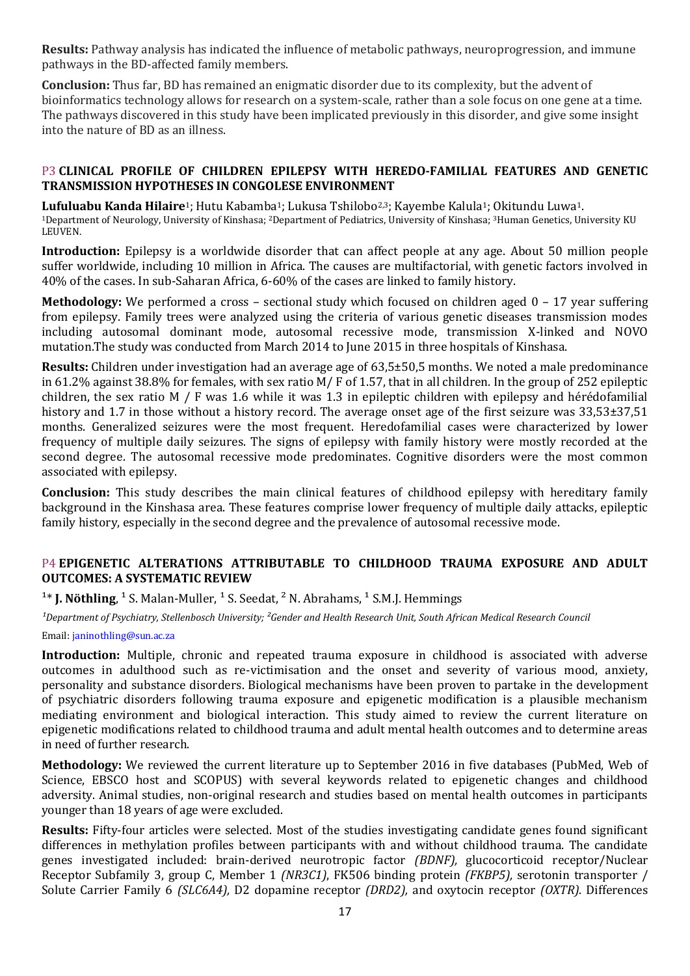**Results:** Pathway analysis has indicated the influence of metabolic pathways, neuroprogression, and immune pathways in the BD-affected family members.

**Conclusion:** Thus far, BD has remained an enigmatic disorder due to its complexity, but the advent of bioinformatics technology allows for research on a system-scale, rather than a sole focus on one gene at a time. The pathways discovered in this study have been implicated previously in this disorder, and give some insight into the nature of BD as an illness.

# P3 **CLINICAL PROFILE OF CHILDREN EPILEPSY WITH HEREDO-FAMILIAL FEATURES AND GENETIC TRANSMISSION HYPOTHESES IN CONGOLESE ENVIRONMENT**

**Lufuluabu Kanda Hilaire**1; Hutu Kabamba1; Lukusa Tshilobo2,3; Kayembe Kalula1; Okitundu Luwa1. <sup>1</sup>Department of Neurology, University of Kinshasa; 2Department of Pediatrics, University of Kinshasa; 3Human Genetics, University KU LEUVEN.

**Introduction:** Epilepsy is a worldwide disorder that can affect people at any age. About 50 million people suffer worldwide, including 10 million in Africa. The causes are multifactorial, with genetic factors involved in 40% of the cases. In sub-Saharan Africa, 6-60% of the cases are linked to family history.

**Methodology:** We performed a cross – sectional study which focused on children aged  $0 - 17$  year suffering from epilepsy. Family trees were analyzed using the criteria of various genetic diseases transmission modes including autosomal dominant mode, autosomal recessive mode, transmission X-linked and NOVO mutation.The study was conducted from March 2014 to June 2015 in three hospitals of Kinshasa.

**Results:** Children under investigation had an average age of 63,5±50,5 months. We noted a male predominance in 61.2% against 38.8% for females, with sex ratio M/ F of 1.57, that in all children. In the group of 252 epileptic children, the sex ratio M / F was 1.6 while it was 1.3 in epileptic children with epilepsy and hérédofamilial history and 1.7 in those without a history record. The average onset age of the first seizure was  $33,53\pm37,51$ months. Generalized seizures were the most frequent. Heredofamilial cases were characterized by lower frequency of multiple daily seizures. The signs of epilepsy with family history were mostly recorded at the second degree. The autosomal recessive mode predominates. Cognitive disorders were the most common associated with epilepsy.

**Conclusion:** This study describes the main clinical features of childhood epilepsy with hereditary family background in the Kinshasa area. These features comprise lower frequency of multiple daily attacks, epileptic family history, especially in the second degree and the prevalence of autosomal recessive mode.

### P4 **EPIGENETIC ALTERATIONS ATTRIBUTABLE TO CHILDHOOD TRAUMA EXPOSURE AND ADULT OUTCOMES: A SYSTEMATIC REVIEW**

<sup>1</sup>\* **J. Nöthling**, <sup>1</sup> S. Malan-Muller, <sup>1</sup> S. Seedat, <sup>2</sup> N. Abrahams, <sup>1</sup> S.M.J. Hemmings

<sup>1</sup>Department of Psychiatry, Stellenbosch University; <sup>2</sup>Gender and Health Research Unit, South African Medical Research Council Email[: janinothling@sun.ac.za](mailto:janinothling@sun.ac.za)

**Introduction:** Multiple, chronic and repeated trauma exposure in childhood is associated with adverse outcomes in adulthood such as re-victimisation and the onset and severity of various mood, anxiety, personality and substance disorders. Biological mechanisms have been proven to partake in the development of psychiatric disorders following trauma exposure and epigenetic modification is a plausible mechanism mediating environment and biological interaction. This study aimed to review the current literature on epigenetic modifications related to childhood trauma and adult mental health outcomes and to determine areas in need of further research.

**Methodology:** We reviewed the current literature up to September 2016 in five databases (PubMed, Web of Science, EBSCO host and SCOPUS) with several keywords related to epigenetic changes and childhood adversity. Animal studies, non-original research and studies based on mental health outcomes in participants younger than 18 years of age were excluded.

**Results:** Fifty-four articles were selected. Most of the studies investigating candidate genes found significant differences in methylation profiles between participants with and without childhood trauma. The candidate genes investigated included: brain-derived neurotropic factor *(BDNF),* glucocorticoid receptor/Nuclear Receptor Subfamily 3, group C, Member 1 *(NR3C1)*, FK506 binding protein *(FKBP5),* serotonin transporter / Solute Carrier Family 6 *(SLC6A4),* D2 dopamine receptor *(DRD2),* and oxytocin receptor *(OXTR).* Differences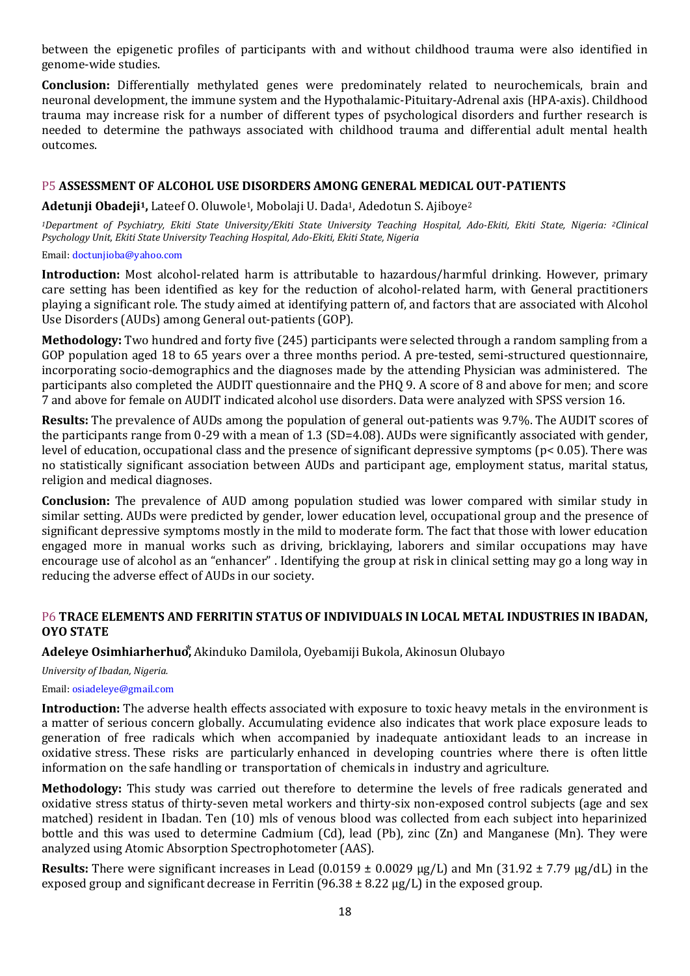between the epigenetic profiles of participants with and without childhood trauma were also identified in genome-wide studies.

**Conclusion:** Differentially methylated genes were predominately related to neurochemicals, brain and neuronal development, the immune system and the Hypothalamic-Pituitary-Adrenal axis (HPA-axis). Childhood trauma may increase risk for a number of different types of psychological disorders and further research is needed to determine the pathways associated with childhood trauma and differential adult mental health outcomes.

### P5 **ASSESSMENT OF ALCOHOL USE DISORDERS AMONG GENERAL MEDICAL OUT-PATIENTS**

**Adetunji Obadeji1,** Lateef O. Oluwole1, Mobolaji U. Dada1, Adedotun S. Ajiboye<sup>2</sup>

*<sup>1</sup>Department of Psychiatry, Ekiti State University/Ekiti State University Teaching Hospital, Ado-Ekiti, Ekiti State, Nigeria: 2Clinical Psychology Unit, Ekiti State University Teaching Hospital, Ado-Ekiti, Ekiti State, Nigeria*

Email[: doctunjioba@yahoo.com](mailto:doctunjioba@yahoo.com)

**Introduction:** Most alcohol-related harm is attributable to hazardous/harmful drinking. However, primary care setting has been identified as key for the reduction of alcohol-related harm, with General practitioners playing a significant role. The study aimed at identifying pattern of, and factors that are associated with Alcohol Use Disorders (AUDs) among General out-patients (GOP).

**Methodology:** Two hundred and forty five (245) participants were selected through a random sampling from a GOP population aged 18 to 65 years over a three months period. A pre-tested, semi-structured questionnaire, incorporating socio-demographics and the diagnoses made by the attending Physician was administered. The participants also completed the AUDIT questionnaire and the PHQ 9. A score of 8 and above for men; and score 7 and above for female on AUDIT indicated alcohol use disorders. Data were analyzed with SPSS version 16.

**Results:** The prevalence of AUDs among the population of general out-patients was 9.7%. The AUDIT scores of the participants range from 0-29 with a mean of 1.3 (SD=4.08). AUDs were significantly associated with gender, level of education, occupational class and the presence of significant depressive symptoms (p< 0.05). There was no statistically significant association between AUDs and participant age, employment status, marital status, religion and medical diagnoses.

**Conclusion:** The prevalence of AUD among population studied was lower compared with similar study in similar setting. AUDs were predicted by gender, lower education level, occupational group and the presence of significant depressive symptoms mostly in the mild to moderate form. The fact that those with lower education engaged more in manual works such as driving, bricklaying, laborers and similar occupations may have encourage use of alcohol as an "enhancer" . Identifying the group at risk in clinical setting may go a long way in reducing the adverse effect of AUDs in our society.

# P6 **TRACE ELEMENTS AND FERRITIN STATUS OF INDIVIDUALS IN LOCAL METAL INDUSTRIES IN IBADAN, OYO STATE**

**Adeleye Osimhiarherhuo⃰,** Akinduko Damilola, Oyebamiji Bukola, Akinosun Olubayo

*University of Ibadan, Nigeria.*

Email[: osiadeleye@gmail.com](mailto:osiadeleye@gmail.com)

**Introduction:** The adverse health effects associated with exposure to toxic heavy metals in the environment is a matter of serious concern globally. Accumulating evidence also indicates that work place exposure leads to generation of free radicals which when accompanied by inadequate antioxidant leads to an increase in oxidative stress. These risks are particularly enhanced in developing countries where there is often little information on the safe handling or transportation of chemicals in industry and agriculture.

**Methodology:** This study was carried out therefore to determine the levels of free radicals generated and oxidative stress status of thirty-seven metal workers and thirty-six non-exposed control subjects (age and sex matched) resident in Ibadan. Ten (10) mls of venous blood was collected from each subject into heparinized bottle and this was used to determine Cadmium (Cd), lead (Pb), zinc (Zn) and Manganese (Mn). They were analyzed using Atomic Absorption Spectrophotometer (AAS).

**Results:** There were significant increases in Lead  $(0.0159 \pm 0.0029 \mu g/L)$  and Mn  $(31.92 \pm 7.79 \mu g/dL)$  in the exposed group and significant decrease in Ferritin (96.38  $\pm$  8.22 µg/L) in the exposed group.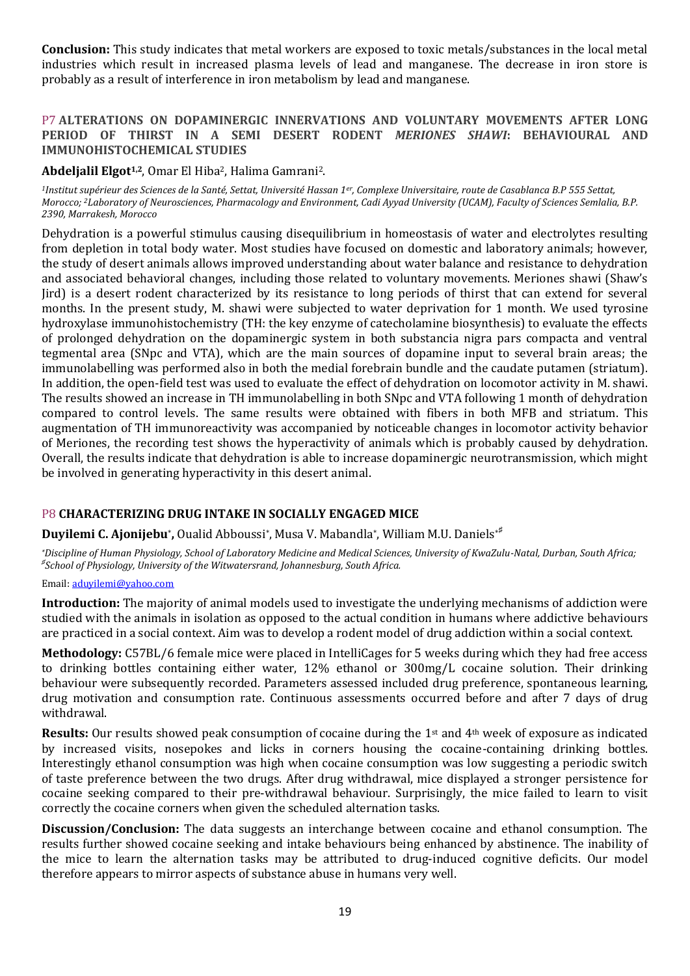**Conclusion:** This study indicates that metal workers are exposed to toxic metals/substances in the local metal industries which result in increased plasma levels of lead and manganese. The decrease in iron store is probably as a result of interference in iron metabolism by lead and manganese.

# P7 **ALTERATIONS ON DOPAMINERGIC INNERVATIONS AND VOLUNTARY MOVEMENTS AFTER LONG PERIOD OF THIRST IN A SEMI DESERT RODENT** *MERIONES SHAWI***: BEHAVIOURAL AND IMMUNOHISTOCHEMICAL STUDIES**

**Abdeljalil Elgot1,2**, Omar El Hiba2, Halima Gamrani2.

*<sup>1</sup>Institut supérieur des Sciences de la Santé, Settat, Université Hassan 1er, Complexe Universitaire, route de Casablanca B.P 555 Settat, Morocco; 2Laboratory of Neurosciences, Pharmacology and Environment, Cadi Ayyad University (UCAM), Faculty of Sciences Semlalia, B.P. 2390, Marrakesh, Morocco*

Dehydration is a powerful stimulus causing disequilibrium in homeostasis of water and electrolytes resulting from depletion in total body water. Most studies have focused on domestic and laboratory animals; however, the study of desert animals allows improved understanding about water balance and resistance to dehydration and associated behavioral changes, including those related to voluntary movements. Meriones shawi (Shaw's Jird) is a desert rodent characterized by its resistance to long periods of thirst that can extend for several months. In the present study, M. shawi were subjected to water deprivation for 1 month. We used tyrosine hydroxylase immunohistochemistry (TH: the key enzyme of catecholamine biosynthesis) to evaluate the effects of prolonged dehydration on the dopaminergic system in both substancia nigra pars compacta and ventral tegmental area (SNpc and VTA), which are the main sources of dopamine input to several brain areas; the immunolabelling was performed also in both the medial forebrain bundle and the caudate putamen (striatum). In addition, the open-field test was used to evaluate the effect of dehydration on locomotor activity in M. shawi. The results showed an increase in TH immunolabelling in both SNpc and VTA following 1 month of dehydration compared to control levels. The same results were obtained with fibers in both MFB and striatum. This augmentation of TH immunoreactivity was accompanied by noticeable changes in locomotor activity behavior of Meriones, the recording test shows the hyperactivity of animals which is probably caused by dehydration. Overall, the results indicate that dehydration is able to increase dopaminergic neurotransmission, which might be involved in generating hyperactivity in this desert animal.

# P8 **CHARACTERIZING DRUG INTAKE IN SOCIALLY ENGAGED MICE**

Duyilemi C. Ajonijebu\*, Oualid Abboussi\*, Musa V. Mabandla\*, William M.U. Daniels<sup>\*</sup>

*\*Discipline of Human Physiology, School of Laboratory Medicine and Medical Sciences, University of KwaZulu-Natal, Durban, South Africa; ♯ School of Physiology, University of the Witwatersrand, Johannesburg, South Africa.*

Email: [aduyilemi@yahoo.com](mailto:aduyilemi@yahoo.com)

**Introduction:** The majority of animal models used to investigate the underlying mechanisms of addiction were studied with the animals in isolation as opposed to the actual condition in humans where addictive behaviours are practiced in a social context. Aim was to develop a rodent model of drug addiction within a social context.

**Methodology:** C57BL/6 female mice were placed in IntelliCages for 5 weeks during which they had free access to drinking bottles containing either water, 12% ethanol or 300mg/L cocaine solution. Their drinking behaviour were subsequently recorded. Parameters assessed included drug preference, spontaneous learning, drug motivation and consumption rate. Continuous assessments occurred before and after 7 days of drug withdrawal.

**Results:** Our results showed peak consumption of cocaine during the 1st and 4th week of exposure as indicated by increased visits, nosepokes and licks in corners housing the cocaine-containing drinking bottles. Interestingly ethanol consumption was high when cocaine consumption was low suggesting a periodic switch of taste preference between the two drugs. After drug withdrawal, mice displayed a stronger persistence for cocaine seeking compared to their pre-withdrawal behaviour. Surprisingly, the mice failed to learn to visit correctly the cocaine corners when given the scheduled alternation tasks.

**Discussion/Conclusion:** The data suggests an interchange between cocaine and ethanol consumption. The results further showed cocaine seeking and intake behaviours being enhanced by abstinence. The inability of the mice to learn the alternation tasks may be attributed to drug-induced cognitive deficits. Our model therefore appears to mirror aspects of substance abuse in humans very well.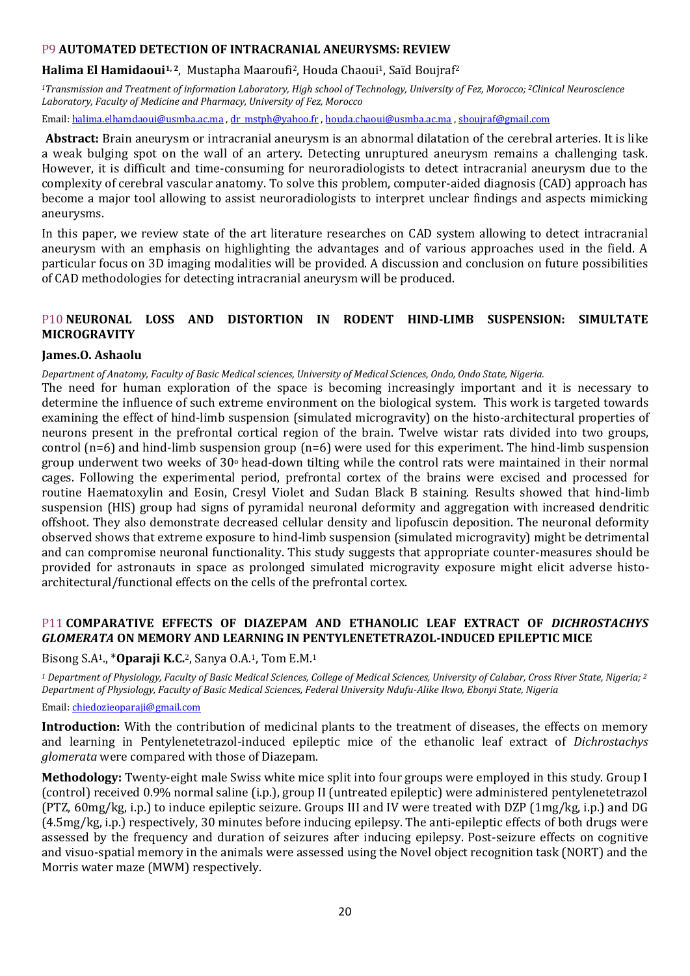#### P9 **AUTOMATED DETECTION OF INTRACRANIAL ANEURYSMS: REVIEW**

### Halima El Hamidaoui<sup>1,2</sup>, Mustapha Maaroufi<sup>2</sup>, Houda Chaoui<sup>1</sup>, Saïd Boujraf<sup>2</sup>

*<sup>1</sup>Transmission and Treatment of information Laboratory, High school of Technology, University of Fez, Morocco; 2Clinical Neuroscience Laboratory, Faculty of Medicine and Pharmacy, University of Fez, Morocco* 

Email[: halima.elhamdaoui@usmba.ac.ma](mailto:halima.elhamdaoui@usmba.ac.ma) [, dr\\_mstph@yahoo.fr](mailto:dr_mstph@yahoo.fr) [, houda.chaoui@usmba.ac.ma](mailto:houda.chaoui@usmba.ac.ma) , [sboujraf@gmail.com](mailto:sboujraf@gmail.com)

**Abstract:** Brain aneurysm or intracranial aneurysm is an abnormal dilatation of the cerebral arteries. It is like a weak bulging spot on the wall of an artery. Detecting unruptured aneurysm remains a challenging task. However, it is difficult and time-consuming for neuroradiologists to detect intracranial aneurysm due to the complexity of cerebral vascular anatomy. To solve this problem, computer-aided diagnosis (CAD) approach has become a major tool allowing to assist neuroradiologists to interpret unclear findings and aspects mimicking aneurysms.

In this paper, we review state of the art literature researches on CAD system allowing to detect intracranial aneurysm with an emphasis on highlighting the advantages and of various approaches used in the field. A particular focus on 3D imaging modalities will be provided. A discussion and conclusion on future possibilities of CAD methodologies for detecting intracranial aneurysm will be produced.

# P10 **NEURONAL LOSS AND DISTORTION IN RODENT HIND-LIMB SUSPENSION: SIMULTATE MICROGRAVITY**

# **James.O. Ashaolu**

*Department of Anatomy, Faculty of Basic Medical sciences, University of Medical Sciences, Ondo, Ondo State, Nigeria.*

The need for human exploration of the space is becoming increasingly important and it is necessary to determine the influence of such extreme environment on the biological system. This work is targeted towards examining the effect of hind-limb suspension (simulated microgravity) on the histo-architectural properties of neurons present in the prefrontal cortical region of the brain. Twelve wistar rats divided into two groups, control (n=6) and hind-limb suspension group (n=6) were used for this experiment. The hind-limb suspension group underwent two weeks of 30o head-down tilting while the control rats were maintained in their normal cages. Following the experimental period, prefrontal cortex of the brains were excised and processed for routine Haematoxylin and Eosin, Cresyl Violet and Sudan Black B staining. Results showed that hind-limb suspension (HlS) group had signs of pyramidal neuronal deformity and aggregation with increased dendritic offshoot. They also demonstrate decreased cellular density and lipofuscin deposition. The neuronal deformity observed shows that extreme exposure to hind-limb suspension (simulated microgravity) might be detrimental and can compromise neuronal functionality. This study suggests that appropriate counter-measures should be provided for astronauts in space as prolonged simulated microgravity exposure might elicit adverse histoarchitectural/functional effects on the cells of the prefrontal cortex.

# P11 **COMPARATIVE EFFECTS OF DIAZEPAM AND ETHANOLIC LEAF EXTRACT OF** *DICHROSTACHYS GLOMERATA* **ON MEMORY AND LEARNING IN PENTYLENETETRAZOL-INDUCED EPILEPTIC MICE**

#### Bisong S.A1., \***Oparaji K.C.**2, Sanya O.A.1, Tom E.M.<sup>1</sup>

*<sup>1</sup> Department of Physiology, Faculty of Basic Medical Sciences, College of Medical Sciences, University of Calabar, Cross River State, Nigeria; <sup>2</sup> Department of Physiology, Faculty of Basic Medical Sciences, Federal University Ndufu-Alike Ikwo, Ebonyi State, Nigeria*

# Email[: chiedozieoparaji@gmail.com](mailto:chiedozieoparaji@gmail.com)

**Introduction:** With the contribution of medicinal plants to the treatment of diseases, the effects on memory and learning in Pentylenetetrazol-induced epileptic mice of the ethanolic leaf extract of *Dichrostachys glomerata* were compared with those of Diazepam.

**Methodology:** Twenty-eight male Swiss white mice split into four groups were employed in this study. Group I (control) received 0.9% normal saline (i.p.), group II (untreated epileptic) were administered pentylenetetrazol (PTZ, 60mg/kg, i.p.) to induce epileptic seizure. Groups III and IV were treated with DZP (1mg/kg, i.p.) and DG (4.5mg/kg, i.p.) respectively, 30 minutes before inducing epilepsy. The anti-epileptic effects of both drugs were assessed by the frequency and duration of seizures after inducing epilepsy. Post-seizure effects on cognitive and visuo-spatial memory in the animals were assessed using the Novel object recognition task (NORT) and the Morris water maze (MWM) respectively.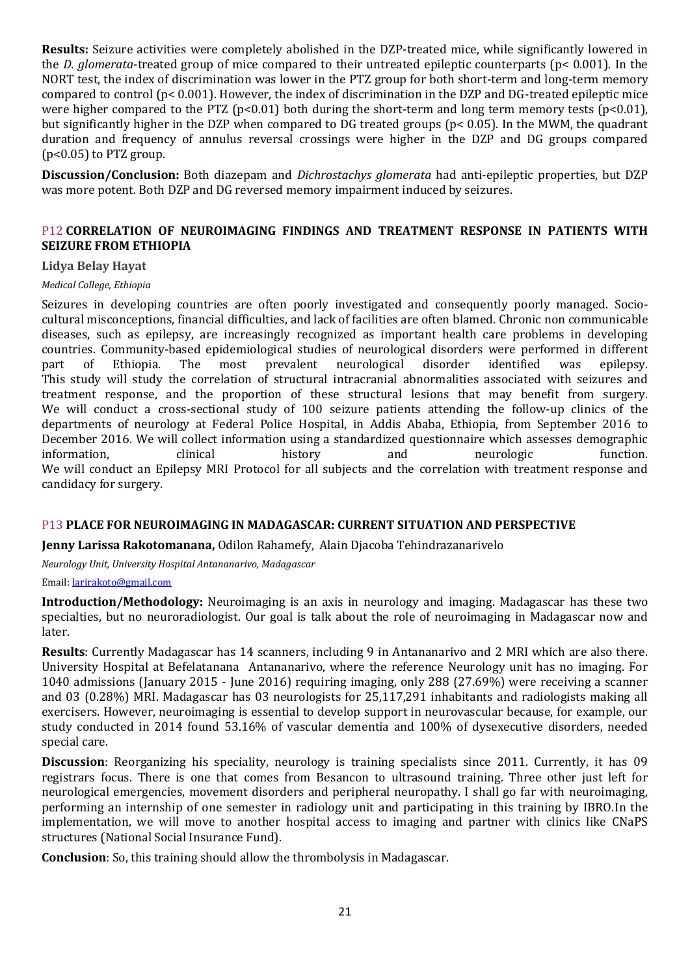**Results:** Seizure activities were completely abolished in the DZP-treated mice, while significantly lowered in the *D. glomerata*-treated group of mice compared to their untreated epileptic counterparts (p< 0.001). In the NORT test, the index of discrimination was lower in the PTZ group for both short-term and long-term memory compared to control ( $p < 0.001$ ). However, the index of discrimination in the DZP and DG-treated epileptic mice were higher compared to the PTZ ( $p<0.01$ ) both during the short-term and long term memory tests ( $p<0.01$ ), but significantly higher in the DZP when compared to DG treated groups (p< 0.05). In the MWM, the quadrant duration and frequency of annulus reversal crossings were higher in the DZP and DG groups compared (p<0.05) to PTZ group.

**Discussion/Conclusion:** Both diazepam and *Dichrostachys glomerata* had anti-epileptic properties, but DZP was more potent. Both DZP and DG reversed memory impairment induced by seizures.

# P12 **CORRELATION OF NEUROIMAGING FINDINGS AND TREATMENT RESPONSE IN PATIENTS WITH SEIZURE FROM ETHIOPIA**

### **Lidya Belay Hayat**

#### *Medical College, Ethiopia*

Seizures in developing countries are often poorly investigated and consequently poorly managed. Sociocultural misconceptions, financial difficulties, and lack of facilities are often blamed. Chronic non communicable diseases, such as epilepsy, are increasingly recognized as important health care problems in developing countries. Community-based epidemiological studies of neurological disorders were performed in different part of Ethiopia. The most prevalent neurological disorder identified was epilepsy. This study will study the correlation of structural intracranial abnormalities associated with seizures and treatment response, and the proportion of these structural lesions that may benefit from surgery. We will conduct a cross-sectional study of 100 seizure patients attending the follow-up clinics of the departments of neurology at Federal Police Hospital, in Addis Ababa, Ethiopia, from September 2016 to December 2016. We will collect information using a standardized questionnaire which assesses demographic information, clinical history and neurologic function. We will conduct an Epilepsy MRI Protocol for all subjects and the correlation with treatment response and candidacy for surgery.

# P13 **PLACE FOR NEUROIMAGING IN MADAGASCAR: CURRENT SITUATION AND PERSPECTIVE**

**Jenny Larissa Rakotomanana,** Odilon Rahamefy, Alain Djacoba Tehindrazanarivelo

*Neurology Unit, University Hospital Antananarivo, Madagascar*

Email[: larirakoto@gmail.com](mailto:larirakoto@gmail.com)

**Introduction/Methodology:** Neuroimaging is an axis in neurology and imaging. Madagascar has these two specialties, but no neuroradiologist. Our goal is talk about the role of neuroimaging in Madagascar now and later.

**Results**: Currently Madagascar has 14 scanners, including 9 in Antananarivo and 2 MRI which are also there. University Hospital at Befelatanana Antananarivo, where the reference Neurology unit has no imaging. For 1040 admissions (January 2015 - June 2016) requiring imaging, only 288 (27.69%) were receiving a scanner and 03 (0.28%) MRI. Madagascar has 03 neurologists for 25,117,291 inhabitants and radiologists making all exercisers. However, neuroimaging is essential to develop support in neurovascular because, for example, our study conducted in 2014 found 53.16% of vascular dementia and 100% of dysexecutive disorders, needed special care.

**Discussion**: Reorganizing his speciality, neurology is training specialists since 2011. Currently, it has 09 registrars focus. There is one that comes from Besancon to ultrasound training. Three other just left for neurological emergencies, movement disorders and peripheral neuropathy. I shall go far with neuroimaging, performing an internship of one semester in radiology unit and participating in this training by IBRO.In the implementation, we will move to another hospital access to imaging and partner with clinics like CNaPS structures (National Social Insurance Fund).

**Conclusion**: So, this training should allow the thrombolysis in Madagascar.